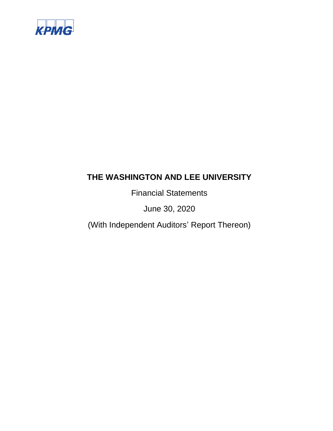

Financial Statements

June 30, 2020

(With Independent Auditors' Report Thereon)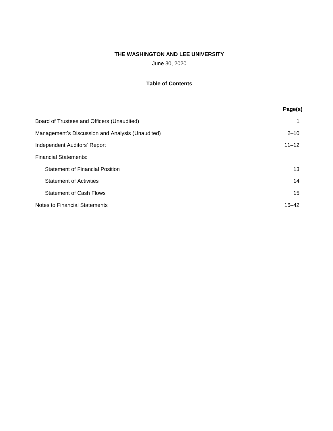June 30, 2020

# **Table of Contents**

|                                                  | Page(s)   |
|--------------------------------------------------|-----------|
| Board of Trustees and Officers (Unaudited)       | 1         |
| Management's Discussion and Analysis (Unaudited) | $2 - 10$  |
| Independent Auditors' Report                     | $11 - 12$ |
| <b>Financial Statements:</b>                     |           |
| <b>Statement of Financial Position</b>           | 13        |
| <b>Statement of Activities</b>                   | 14        |
| <b>Statement of Cash Flows</b>                   | 15        |
| Notes to Financial Statements                    | 16–42     |
|                                                  |           |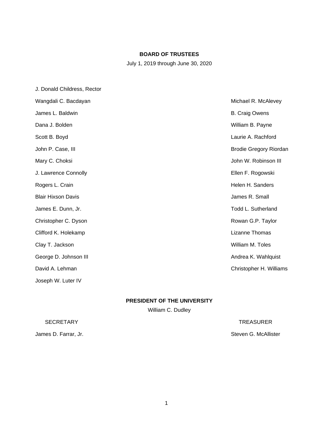# **BOARD OF TRUSTEES**

July 1, 2019 through June 30, 2020

| J. Donald Childress, Rector |                               |
|-----------------------------|-------------------------------|
| Wangdali C. Bacdayan        | Michael R. McAlevey           |
| James L. Baldwin            | <b>B.</b> Craig Owens         |
| Dana J. Bolden              | William B. Payne              |
| Scott B. Boyd               | Laurie A. Rachford            |
| John P. Case, III           | <b>Brodie Gregory Riordan</b> |
| Mary C. Choksi              | John W. Robinson III          |
| J. Lawrence Connolly        | Ellen F. Rogowski             |
| Rogers L. Crain             | Helen H. Sanders              |
| <b>Blair Hixson Davis</b>   | James R. Small                |
| James E. Dunn, Jr.          | Todd L. Sutherland            |
| Christopher C. Dyson        | Rowan G.P. Taylor             |
| Clifford K. Holekamp        | Lizanne Thomas                |
| Clay T. Jackson             | William M. Toles              |
| George D. Johnson III       | Andrea K. Wahlquist           |
| David A. Lehman             | Christopher H. Williams       |
| Joseph W. Luter IV          |                               |

# **PRESIDENT OF THE UNIVERSITY**

William C. Dudley

# SECRETARY TREASURER SECRETARY

James D. Farrar, Jr. Steven G. McAllister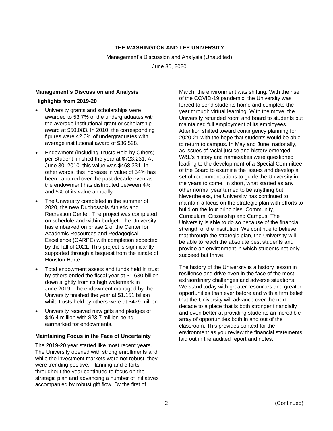Management's Discussion and Analysis (Unaudited)

June 30, 2020

# **Management's Discussion and Analysis**

# **Highlights from 2019-20**

- University grants and scholarships were awarded to 53.7% of the undergraduates with the average institutional grant or scholarship award at \$50,083. In 2010, the corresponding figures were 42.0% of undergraduates with average institutional award of \$36,528.
- Endowment (including Trusts Held by Others) per Student finished the year at \$723,231. At June 30, 2010, this value was \$468,331. In other words, this increase in value of 54% has been captured over the past decade even as the endowment has distributed between 4% and 5% of its value annually.
- The University completed in the summer of 2020, the new Duchossois Athletic and Recreation Center. The project was completed on schedule and within budget. The University has embarked on phase 2 of the Center for Academic Resources and Pedagogical Excellence (CARPE) with completion expected by the fall of 2021. This project is significantly supported through a bequest from the estate of Houston Harte.
- Total endowment assets and funds held in trust by others ended the fiscal year at \$1.630 billion down slightly from its high watermark in June 2019. The endowment managed by the University finished the year at \$1.151 billion while trusts held by others were at \$479 million.
- University received new gifts and pledges of \$46.4 million with \$23.7 million being earmarked for endowments.

#### **Maintaining Focus in the Face of Uncertainty**

The 2019-20 year started like most recent years. The University opened with strong enrollments and while the investment markets were not robust, they were trending positive. Planning and efforts throughout the year continued to focus on the strategic plan and advancing a number of initiatives accompanied by robust gift flow. By the first of

March, the environment was shifting. With the rise of the COVID-19 pandemic, the University was forced to send students home and complete the year through virtual learning. With the move, the University refunded room and board to students but maintained full employment of its employees. Attention shifted toward contingency planning for 2020-21 with the hope that students would be able to return to campus. In May and June, nationally, as issues of racial justice and history emerged, W&L's history and namesakes were questioned leading to the development of a Special Committee of the Board to examine the issues and develop a set of recommendations to guide the University in the years to come. In short, what started as any other normal year turned to be anything but. Nevertheless, the University has continued to maintain a focus on the strategic plan with efforts to build on the four principles: Community, Curriculum, Citizenship and Campus. The University is able to do so because of the financial strength of the institution. We continue to believe that through the strategic plan, the University will be able to reach the absolute best students and provide an environment in which students not only succeed but thrive.

The history of the University is a history lesson in resilience and drive even in the face of the most extraordinary challenges and adverse situations. We stand today with greater resources and greater opportunities than ever before and with a firm belief that the University will advance over the next decade to a place that is both stronger financially and even better at providing students an incredible array of opportunities both in and out of the classroom. This provides context for the environment as you review the financial statements laid out in the audited report and notes.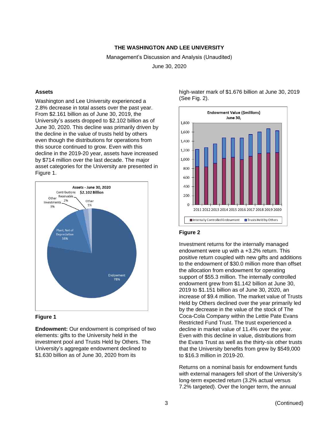Management's Discussion and Analysis (Unaudited)

June 30, 2020

#### **Assets**

Washington and Lee University experienced a 2.8% decrease in total assets over the past year. From \$2.161 billion as of June 30, 2019, the University's assets dropped to \$2.102 billion as of June 30, 2020. This decline was primarily driven by the decline in the value of trusts held by others even though the distributions for operations from this source continued to grow. Even with this decline in the 2019-20 year, assets have increased by \$714 million over the last decade. The major asset categories for the University are presented in Figure 1.



#### **Figure 1**

**Endowment:** Our endowment is comprised of two elements: gifts to the University held in the investment pool and Trusts Held by Others. The University's aggregate endowment declined to \$1.630 billion as of June 30, 2020 from its

high-water mark of \$1.676 billion at June 30, 2019 (See Fig. 2).



#### **Figure 2**

Investment returns for the internally managed endowment were up with a +3.2% return. This positive return coupled with new gifts and additions to the endowment of \$30.0 million more than offset the allocation from endowment for operating support of \$55.3 million. The internally controlled endowment grew from \$1.142 billion at June 30, 2019 to \$1.151 billion as of June 30, 2020, an increase of \$9.4 million. The market value of Trusts Held by Others declined over the year primarily led by the decrease in the value of the stock of The Coca-Cola Company within the Lettie Pate Evans Restricted Fund Trust. The trust experienced a decline in market value of 11.4% over the year. Even with this decline in value, distributions from the Evans Trust as well as the thirty-six other trusts that the University benefits from grew by \$549,000 to \$16.3 million in 2019-20.

Returns on a nominal basis for endowment funds with external managers fell short of the University's long-term expected return (3.2% actual versus 7.2% targeted). Over the longer term, the annual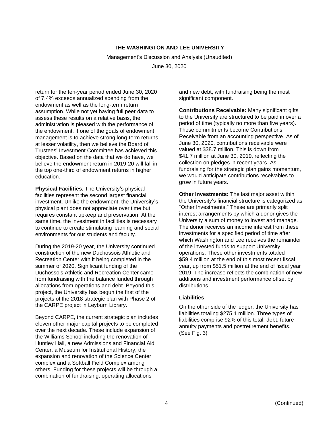Management's Discussion and Analysis (Unaudited)

June 30, 2020

return for the ten-year period ended June 30, 2020 of 7.4% exceeds annualized spending from the endowment as well as the long-term return assumption. While not yet having full peer data to assess these results on a relative basis, the administration is pleased with the performance of the endowment. If one of the goals of endowment management is to achieve strong long-term returns at lesser volatility, then we believe the Board of Trustees' Investment Committee has achieved this objective. Based on the data that we do have, we believe the endowment return in 2019-20 will fall in the top one-third of endowment returns in higher education.

**Physical Facilities***:* The University's physical facilities represent the second largest financial investment. Unlike the endowment, the University's physical plant does not appreciate over time but requires constant upkeep and preservation. At the same time, the investment in facilities is necessary to continue to create stimulating learning and social environments for our students and faculty.

During the 2019-20 year, the University continued construction of the new Duchossois Athletic and Recreation Center with it being completed in the summer of 2020. Significant funding of the Duchossois Athletic and Recreation Center came from fundraising with the balance funded through allocations from operations and debt. Beyond this project, the University has begun the first of the projects of the 2018 strategic plan with Phase 2 of the CARPE project in Leyburn Library.

Beyond CARPE, the current strategic plan includes eleven other major capital projects to be completed over the next decade. These include expansion of the Williams School including the renovation of Huntley Hall, a new Admissions and Financial Aid Center, a Museum for Institutional History, the expansion and renovation of the Science Center complex and a Softball Field Complex among others. Funding for these projects will be through a combination of fundraising, operating allocations

and new debt, with fundraising being the most significant component.

**Contributions Receivable:** Many significant gifts to the University are structured to be paid in over a period of time (typically no more than five years). These commitments become Contributions Receivable from an accounting perspective. As of June 30, 2020, contributions receivable were valued at \$38.7 million. This is down from \$41.7 million at June 30, 2019, reflecting the collection on pledges in recent years. As fundraising for the strategic plan gains momentum, we would anticipate contributions receivables to grow in future years.

**Other Investments:** The last major asset within the University's financial structure is categorized as "Other Investments." These are primarily split interest arrangements by which a donor gives the University a sum of money to invest and manage. The donor receives an income interest from these investments for a specified period of time after which Washington and Lee receives the remainder of the invested funds to support University operations. These other investments totaled \$59.4 million at the end of this most recent fiscal year, up from \$51.5 million at the end of fiscal year 2019. The increase reflects the combination of new additions and investment performance offset by distributions.

#### **Liabilities**

On the other side of the ledger, the University has liabilities totaling \$275.1 million. Three types of liabilities comprise 92% of this total: debt, future annuity payments and postretirement benefits. (See Fig. 3)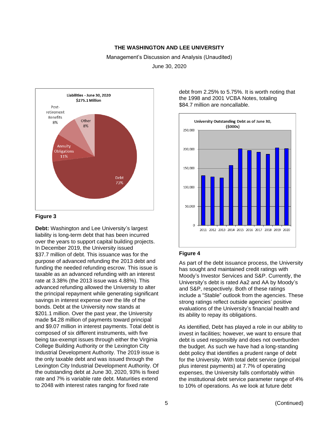Management's Discussion and Analysis (Unaudited)

June 30, 2020





**Debt:** Washington and Lee University's largest liability is long-term debt that has been incurred over the years to support capital building projects. In December 2019, the University issued \$37.7 million of debt. This issuance was for the purpose of advanced refunding the 2013 debt and funding the needed refunding escrow. This issue is taxable as an advanced refunding with an interest rate at 3.38% (the 2013 issue was 4.88%). This advanced refunding allowed the University to alter the principal repayment while generating significant savings in interest expense over the life of the bonds. Debt at the University now stands at \$201.1 million. Over the past year, the University made \$4.28 million of payments toward principal and \$9.07 million in interest payments. Total debt is composed of six different instruments, with five being tax-exempt issues through either the Virginia College Building Authority or the Lexington City Industrial Development Authority. The 2019 issue is the only taxable debt and was issued through the Lexington City Industrial Development Authority. Of the outstanding debt at June 30, 2020, 93% is fixed rate and 7% is variable rate debt. Maturities extend to 2048 with interest rates ranging for fixed rate

debt from 2.25% to 5.75%. It is worth noting that the 1998 and 2001 VCBA Notes, totaling \$84.7 million are noncallable.



# **Figure 4**

As part of the debt issuance process, the University has sought and maintained credit ratings with Moody's Investor Services and S&P. Currently, the University's debt is rated Aa2 and AA by Moody's and S&P, respectively. Both of these ratings include a "Stable" outlook from the agencies. These strong ratings reflect outside agencies' positive evaluations of the University's financial health and its ability to repay its obligations.

As identified, Debt has played a role in our ability to invest in facilities; however, we want to ensure that debt is used responsibly and does not overburden the budget. As such we have had a long-standing debt policy that identifies a prudent range of debt for the University. With total debt service (principal plus interest payments) at 7.7% of operating expenses, the University falls comfortably within the institutional debt service parameter range of 4% to 10% of operations. As we look at future debt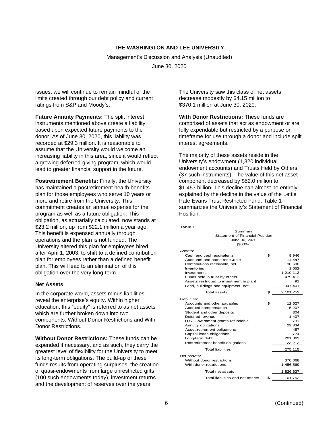Management's Discussion and Analysis (Unaudited)

June 30, 2020

issues, we will continue to remain mindful of the limits created through our debt policy and current ratings from S&P and Moody's.

**Future Annuity Payments:** The split interest instruments mentioned above create a liability based upon expected future payments to the donor. As of June 30, 2020, this liability was recorded at \$29.3 million. It is reasonable to assume that the University would welcome an increasing liability in this area, since it would reflect a growing deferred-giving program, which would lead to greater financial support in the future.

**Postretirement Benefits:** Finally, the University has maintained a postretirement health benefits plan for those employees who serve 10 years or more and retire from the University. This commitment creates an annual expense for the program as well as a future obligation. This obligation, as actuarially calculated, now stands at \$23.2 million, up from \$22.1 million a year ago. This benefit is expensed annually through operations and the plan is not funded. The University altered this plan for employees hired after April 1, 2003, to shift to a defined contribution plan for employees rather than a defined benefit plan. This will lead to an elimination of this obligation over the very long-term.

#### **Net Assets**

In the corporate world, assets minus liabilities reveal the enterprise's equity. Within higher education, this "equity" is referred to as net assets which are further broken down into two components: Without Donor Restrictions and With Donor Restrictions.

**Without Donor Restrictions:** These funds can be expended if necessary, and as such, they carry the greatest level of flexibility for the University to meet its long-term obligations. The build-up of these funds results from operating surpluses, the creation of quasi-endowments from large unrestricted gifts (100 such endowments today), investment returns and the development of reserves over the years.

The University saw this class of net assets decrease modestly by \$4.15 million to \$370.1 million at June 30, 2020.

**With Donor Restrictions:** These funds are comprised of assets that act as endowment or are fully expendable but restricted by a purpose or timeframe for use through a donor and include split interest agreements.

The majority of these assets reside in the University's endowment (1,320 individual endowment accounts) and Trusts Held by Others (37 such instruments). The value of this net asset component decreased by \$52.0 million to \$1.457 billion. This decline can almost be entirely explained by the decline in the value of the Lettie Pate Evans Trust Restricted Fund. Table 1 summarizes the University's Statement of Financial Position.

Summary

#### **Table 1**

| <b>Statement of Financial Position</b><br>June 30, 2020<br>(\$000s) |    |                      |  |  |
|---------------------------------------------------------------------|----|----------------------|--|--|
|                                                                     |    |                      |  |  |
| Assets:                                                             | \$ |                      |  |  |
| Cash and cash equivalents<br>Accounts and notes receivable          |    | 9.946                |  |  |
|                                                                     |    | 14,447               |  |  |
| Contributions receivable, net<br>Inventories                        |    | 38,690<br>1,652      |  |  |
| Investments                                                         |    |                      |  |  |
|                                                                     |    | 1,210,113<br>479,413 |  |  |
| Funds held in trust by others                                       |    | 91                   |  |  |
| Assets restricted to investment in plant                            |    |                      |  |  |
| Land, buildings and equipment, net                                  |    | 347,401              |  |  |
| Total assets                                                        | \$ | 2,101,753            |  |  |
| Liabilities:                                                        |    |                      |  |  |
| Accounts and other payables                                         | \$ | 12,627               |  |  |
| Accrued compensation                                                |    | 5,207                |  |  |
| Student and other deposits                                          |    | 304                  |  |  |
| Deferred revenue                                                    |    | 1.407                |  |  |
| U.S. Government grants refundable                                   |    | 731                  |  |  |
| Annuity obligations                                                 |    | 29,334               |  |  |
| Asset retirement obligations                                        |    | 457                  |  |  |
| Capital lease obligations                                           |    | 774                  |  |  |
| Long-term debt                                                      |    | 201,062              |  |  |
| Postretirement benefit obligations                                  |    | 23,212               |  |  |
| <b>Total liabilities</b>                                            |    | 275,115              |  |  |
| Net assets:                                                         |    |                      |  |  |
| Without donor restrictions                                          |    | 370,068              |  |  |
| With donor restrictions                                             |    | 1,456,569            |  |  |
| Total net assets                                                    |    | 1,826,637            |  |  |
| Total liabilities and net assets                                    | \$ |                      |  |  |
|                                                                     |    | 2,101,752            |  |  |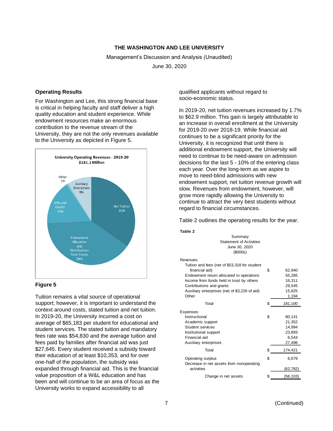Management's Discussion and Analysis (Unaudited)

June 30, 2020

#### **Operating Results**

For Washington and Lee, this strong financial base is critical in helping faculty and staff deliver a high quality education and student experience. While endowment resources make an enormous contribution to the revenue stream of the University, they are not the only revenues available to the University as depicted in Figure 5.



#### **Figure 5**

Tuition remains a vital source of operational support; however, it is important to understand the context around costs, stated tuition and net tuition. In 2019-20, the University incurred a cost on average of \$65,183 per student for educational and student services. The stated tuition and mandatory fees rate was \$54,830 and the average tuition and fees paid by families after financial aid was just \$27,645. Every student received a subsidy toward their education of at least \$10,353, and for over one-half of the population, the subsidy was expanded through financial aid. This is the financial value proposition of a W&L education and has been and will continue to be an area of focus as the University works to expand accessibility to all

qualified applicants without regard to socio-economic status.

In 2019-20, net tuition revenues increased by 1.7% to \$62.9 million. This gain is largely attributable to an increase in overall enrollment at the University for 2019-20 over 2018-19. While financial aid continues to be a significant priority for the University, it is recognized that until there is additional endowment support, the University will need to continue to be need-aware on admission decisions for the last 5 - 10% of the entering class each year. Over the long-term as we aspire to move to need-blind admissions with new endowment support, net tuition revenue growth will slow. Revenues from endowment, however, will grow more rapidly allowing the University to continue to attract the very best students without regard to financial circumstances.

Table 2 outlines the operating results for the year.

#### **Table 2**

| Summary<br><b>Statement of Activities</b><br>June 30, 2020<br>(\$000s) |                 |
|------------------------------------------------------------------------|-----------------|
| Revenues:                                                              |                 |
| Tuition and fees (net of \$53,318 for student                          |                 |
| financial aid)                                                         | \$<br>62,940    |
| Endowment return allocated to operations                               | 55,285          |
| Income from funds held in trust by others                              | 16,311          |
| Contributions and grants                                               | 29,545          |
| Auxiliary enterprises (net of \$3,226 of aid)                          | 15,825          |
| Other                                                                  | 1,194           |
| Total                                                                  | \$<br>181,100   |
| Expenses:                                                              |                 |
| Instructional                                                          | \$<br>80,141    |
| Academic support                                                       | 21,352          |
| <b>Student services</b>                                                | 14,994          |
| Institutional support                                                  | 23,893          |
| Financial aid                                                          | 6,543           |
| Auxiliary enterprises                                                  | 27,498          |
| Total                                                                  | \$<br>174,421   |
| Operating surplus                                                      | \$<br>6,679     |
| Decrease in net assets from nonoperating<br>activities                 | (62, 782)       |
| Change in net assets                                                   | \$<br>(56, 103) |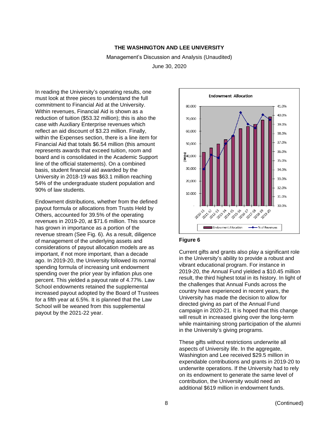#### Management's Discussion and Analysis (Unaudited)

June 30, 2020

In reading the University's operating results, one must look at three pieces to understand the full commitment to Financial Aid at the University. Within revenues, Financial Aid is shown as a reduction of tuition (\$53.32 million); this is also the case with Auxiliary Enterprise revenues which reflect an aid discount of \$3.23 million. Finally, within the Expenses section, there is a line item for Financial Aid that totals \$6.54 million (this amount represents awards that exceed tuition, room and board and is consolidated in the Academic Support line of the official statements). On a combined basis, student financial aid awarded by the University in 2018-19 was \$63.1 million reaching 54% of the undergraduate student population and 90% of law students.

Endowment distributions, whether from the defined payout formula or allocations from Trusts Held by Others, accounted for 39.5% of the operating revenues in 2019-20, at \$71.6 million. This source has grown in importance as a portion of the revenue stream (See Fig. 6). As a result, diligence of management of the underlying assets and considerations of payout allocation models are as important, if not more important, than a decade ago. In 2019-20, the University followed its normal spending formula of increasing unit endowment spending over the prior year by inflation plus one percent. This yielded a payout rate of 4.77%. Law School endowments retained the supplemental increased payout adopted by the Board of Trustees for a fifth year at 6.5%. It is planned that the Law School will be weaned from this supplemental payout by the 2021-22 year.



### **Figure 6**

Current gifts and grants also play a significant role in the University's ability to provide a robust and vibrant educational program. For instance in 2019-20, the Annual Fund yielded a \$10.45 million result, the third highest total in its history. In light of the challenges that Annual Funds across the country have experienced in recent years, the University has made the decision to allow for directed giving as part of the Annual Fund campaign in 2020-21. It is hoped that this change will result in increased giving over the long-term while maintaining strong participation of the alumni in the University's giving programs.

These gifts without restrictions underwrite all aspects of University life. In the aggregate, Washington and Lee received \$29.5 million in expendable contributions and grants in 2019-20 to underwrite operations. If the University had to rely on its endowment to generate the same level of contribution, the University would need an additional \$619 million in endowment funds.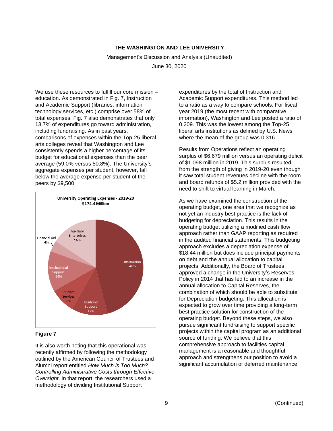#### Management's Discussion and Analysis (Unaudited)

June 30, 2020

We use these resources to fulfill our core mission – education. As demonstrated in Fig. 7, Instruction and Academic Support (libraries, information technology services, etc.) comprise over 58% of total expenses. Fig. 7 also demonstrates that only 13.7% of expenditures go toward administration, including fundraising. As in past years, comparisons of expenses within the Top-25 liberal arts colleges reveal that Washington and Lee consistently spends a higher percentage of its budget for educational expenses than the peer average (59.0% versus 50.8%). The University's aggregate expenses per student, however, fall below the average expense per student of the peers by \$9,500.



### **Figure 7**

It is also worth noting that this operational was recently affirmed by following the methodology outlined by the American Council of Trustees and Alumni report entitled *How Much is Too Much? Controlling Administrative Costs through Effective Oversight*. In that report, the researchers used a methodology of dividing Institutional Support

expenditures by the total of Instruction and Academic Support expenditures. This method led to a ratio as a way to compare schools. For fiscal year 2019 (the most recent with comparative information), Washington and Lee posted a ratio of 0.209. This was the lowest among the Top-25 liberal arts institutions as defined by U.S. News where the mean of the group was 0.316.

Results from Operations reflect an operating surplus of \$6.679 million versus an operating deficit of \$1.098 million in 2019. This surplus resulted from the strength of giving in 2019-20 even though it saw total student revenues decline with the room and board refunds of \$5.2 million provided with the need to shift to virtual learning in March.

As we have examined the construction of the operating budget, one area that we recognize as not yet an industry best practice is the lack of budgeting for depreciation. This results in the operating budget utilizing a modified cash flow approach rather than GAAP reporting as required in the audited financial statements. This budgeting approach excludes a depreciation expense of \$18.44 million but does include principal payments on debt and the annual allocation to capital projects. Additionally, the Board of Trustees approved a change in the University's Reserves Policy in 2014 that has led to an increase in the annual allocation to Capital Reserves, the combination of which should be able to substitute for Depreciation budgeting. This allocation is expected to grow over time providing a long-term best practice solution for construction of the operating budget. Beyond these steps, we also pursue significant fundraising to support specific projects within the capital program as an additional source of funding. We believe that this comprehensive approach to facilities capital management is a reasonable and thoughtful approach and strengthens our position to avoid a significant accumulation of deferred maintenance.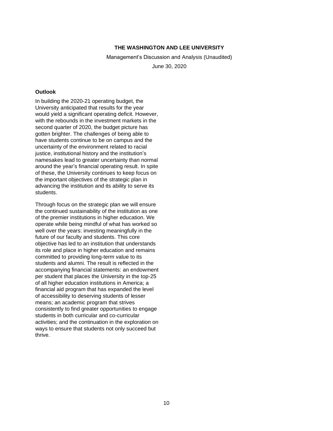Management's Discussion and Analysis (Unaudited)

June 30, 2020

#### **Outlook**

In building the 2020-21 operating budget, the University anticipated that results for the year would yield a significant operating deficit. However, with the rebounds in the investment markets in the second quarter of 2020, the budget picture has gotten brighter. The challenges of being able to have students continue to be on campus and the uncertainty of the environment related to racial justice, institutional history and the institution's namesakes lead to greater uncertainty than normal around the year's financial operating result. In spite of these, the University continues to keep focus on the important objectives of the strategic plan in advancing the institution and its ability to serve its students.

Through focus on the strategic plan we will ensure the continued sustainability of the institution as one of the premier institutions in higher education. We operate while being mindful of what has worked so well over the years: investing meaningfully in the future of our faculty and students. This core objective has led to an institution that understands its role and place in higher education and remains committed to providing long-term value to its students and alumni. The result is reflected in the accompanying financial statements: an endowment per student that places the University in the top-25 of all higher education institutions in America; a financial aid program that has expanded the level of accessibility to deserving students of lesser means; an academic program that strives consistently to find greater opportunities to engage students in both curricular and co-curricular activities; and the continuation in the exploration on ways to ensure that students not only succeed but thrive.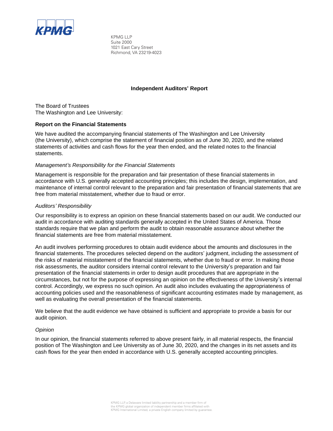

KPMG LLP Suite 2000 1021 East Cary Street Richmond, VA 23219-4023

# **Independent Auditors' Report**

The Board of Trustees The Washington and Lee University:

# **Report on the Financial Statements**

We have audited the accompanying financial statements of The Washington and Lee University (the University), which comprise the statement of financial position as of June 30, 2020, and the related statements of activities and cash flows for the year then ended, and the related notes to the financial statements.

#### *Management's Responsibility for the Financial Statements*

Management is responsible for the preparation and fair presentation of these financial statements in accordance with U.S. generally accepted accounting principles; this includes the design, implementation, and maintenance of internal control relevant to the preparation and fair presentation of financial statements that are free from material misstatement, whether due to fraud or error.

#### *Auditors' Responsibility*

Our responsibility is to express an opinion on these financial statements based on our audit. We conducted our audit in accordance with auditing standards generally accepted in the United States of America. Those standards require that we plan and perform the audit to obtain reasonable assurance about whether the financial statements are free from material misstatement.

An audit involves performing procedures to obtain audit evidence about the amounts and disclosures in the financial statements. The procedures selected depend on the auditors' judgment, including the assessment of the risks of material misstatement of the financial statements, whether due to fraud or error. In making those risk assessments, the auditor considers internal control relevant to the University's preparation and fair presentation of the financial statements in order to design audit procedures that are appropriate in the circumstances, but not for the purpose of expressing an opinion on the effectiveness of the University's internal control. Accordingly, we express no such opinion. An audit also includes evaluating the appropriateness of accounting policies used and the reasonableness of significant accounting estimates made by management, as well as evaluating the overall presentation of the financial statements.

We believe that the audit evidence we have obtained is sufficient and appropriate to provide a basis for our audit opinion.

#### *Opinion*

In our opinion, the financial statements referred to above present fairly, in all material respects, the financial position of The Washington and Lee University as of June 30, 2020, and the changes in its net assets and its cash flows for the year then ended in accordance with U.S. generally accepted accounting principles.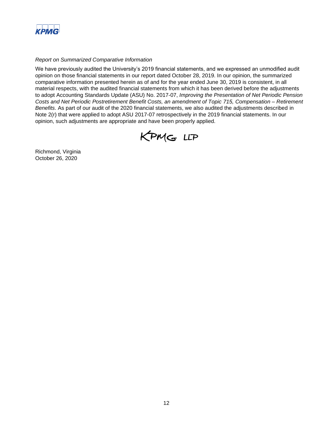

# *Report on Summarized Comparative Information*

We have previously audited the University's 2019 financial statements, and we expressed an unmodified audit opinion on those financial statements in our report dated October 28, 2019. In our opinion, the summarized comparative information presented herein as of and for the year ended June 30, 2019 is consistent, in all material respects, with the audited financial statements from which it has been derived before the adjustments to adopt Accounting Standards Update (ASU) No. 2017-07, *Improving the Presentation of Net Periodic Pension Costs and Net Periodic Postretirement Benefit Costs, an amendment of Topic 715, Compensation – Retirement Benefits*. As part of our audit of the 2020 financial statements, we also audited the adjustments described in Note 2(r) that were applied to adopt ASU 2017-07 retrospectively in the 2019 financial statements. In our opinion, such adjustments are appropriate and have been properly applied.



Richmond, Virginia October 26, 2020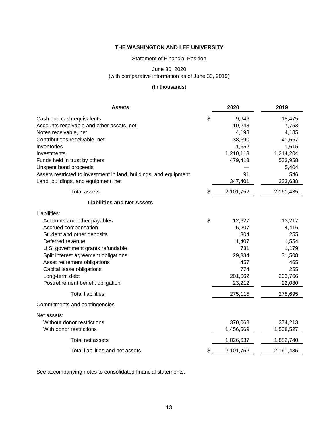Statement of Financial Position

June 30, 2020 (with comparative information as of June 30, 2019)

# (In thousands)

| <b>Assets</b>                                                     | 2020            | 2019      |
|-------------------------------------------------------------------|-----------------|-----------|
| Cash and cash equivalents                                         | \$<br>9,946     | 18,475    |
| Accounts receivable and other assets, net                         | 10,248          | 7,753     |
| Notes receivable, net                                             | 4,198           | 4,185     |
| Contributions receivable, net                                     | 38,690          | 41,657    |
| Inventories                                                       | 1,652           | 1,615     |
| Investments                                                       | 1,210,113       | 1,214,204 |
| Funds held in trust by others                                     | 479,413         | 533,958   |
| Unspent bond proceeds                                             |                 | 5,404     |
| Assets restricted to investment in land, buildings, and equipment | 91              | 546       |
| Land, buildings, and equipment, net                               | 347,401         | 333,638   |
| <b>Total assets</b>                                               | \$<br>2,101,752 | 2,161,435 |
| <b>Liabilities and Net Assets</b>                                 |                 |           |
| Liabilities:                                                      |                 |           |
| Accounts and other payables                                       | \$<br>12,627    | 13,217    |
| Accrued compensation                                              | 5,207           | 4,416     |
| Student and other deposits                                        | 304             | 255       |
| Deferred revenue                                                  | 1,407           | 1,554     |
| U.S. government grants refundable                                 | 731             | 1,179     |
| Split interest agreement obligations                              | 29,334          | 31,508    |
| Asset retirement obligations                                      | 457             | 465       |
| Capital lease obligations                                         | 774             | 255       |
| Long-term debt                                                    | 201,062         | 203,766   |
| Postretirement benefit obligation                                 | 23,212          | 22,080    |
| <b>Total liabilities</b>                                          | 275,115         | 278,695   |
| Commitments and contingencies                                     |                 |           |
| Net assets:                                                       |                 |           |
| Without donor restrictions                                        | 370,068         | 374,213   |
| With donor restrictions                                           | 1,456,569       | 1,508,527 |
| Total net assets                                                  | 1,826,637       | 1,882,740 |
| Total liabilities and net assets                                  | \$<br>2,101,752 | 2,161,435 |

See accompanying notes to consolidated financial statements.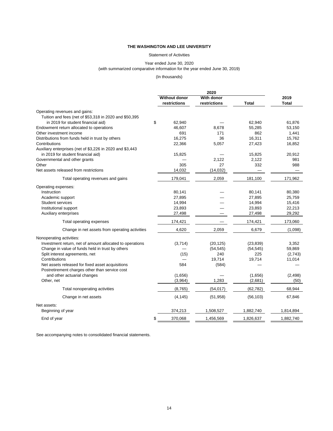#### Statement of Activities

#### Year ended June 30, 2020 (with summarized comparative information for the year ended June 30, 2019)

#### (In thousands)

|                                                           |                                    | 2020         |              |              |
|-----------------------------------------------------------|------------------------------------|--------------|--------------|--------------|
|                                                           | <b>Without donor</b><br>With donor |              |              | 2019         |
|                                                           | restrictions                       | restrictions | <b>Total</b> | <b>Total</b> |
| Operating revenues and gains:                             |                                    |              |              |              |
| Tuition and fees (net of \$53,318 in 2020 and \$50,395    |                                    |              |              |              |
| in 2019 for student financial aid)                        | \$<br>62,940                       |              | 62,940       | 61.876       |
| Endowment return allocated to operations                  | 46,607                             | 8,678        | 55,285       | 53,150       |
| Other investment income                                   | 691                                | 171          | 862          | 1,441        |
| Distributions from funds held in trust by others          | 16,275                             | 36           | 16,311       | 15,762       |
| Contributions                                             | 22,366                             | 5,057        | 27,423       | 16,852       |
| Auxiliary enterprises (net of \$3,226 in 2020 and \$3,443 |                                    |              |              |              |
| in 2019 for student financial aid)                        | 15,825                             |              | 15,825       | 20,912       |
| Governmental and other grants                             |                                    | 2.122        | 2,122        | 981          |
| Other                                                     | 305                                | 27           | 332          | 988          |
| Net assets released from restrictions                     | 14,032                             | (14, 032)    |              |              |
| Total operating revenues and gains                        | 179,041                            | 2,059        | 181,100      | 171,962      |
| Operating expenses:                                       |                                    |              |              |              |
| Instruction                                               | 80,141                             |              | 80,141       | 80,380       |
| Academic support                                          | 27,895                             |              | 27,895       | 25,759       |
| Student services                                          | 14,994                             |              | 14,994       | 15,416       |
|                                                           |                                    |              |              | 22,213       |
| Institutional support                                     | 23,893                             |              | 23,893       | 29,292       |
| Auxiliary enterprises                                     | 27,498                             |              | 27,498       |              |
| Total operating expenses                                  | 174,421                            |              | 174,421      | 173,060      |
| Change in net assets from operating activities            | 4,620                              | 2,059        | 6,679        | (1,098)      |
| Nonoperating activities:                                  |                                    |              |              |              |
| Investment return, net of amount allocated to operations  | (3,714)                            | (20, 125)    | (23, 839)    | 3,352        |
| Change in value of funds held in trust by others          |                                    | (54, 545)    | (54, 545)    | 59,869       |
| Split interest agreements, net                            | (15)                               | 240          | 225          | (2,743)      |
| Contributions                                             |                                    | 19.714       | 19.714       | 11,014       |
| Net assets released for fixed asset acquisitions          | 584                                | (584)        |              |              |
| Postretirement charges other than service cost            |                                    |              |              |              |
| and other actuarial changes                               | (1,656)                            |              | (1,656)      | (2, 498)     |
| Other, net                                                | (3,964)                            | 1,283        | (2,681)      | (50)         |
| Total nonoperating activities                             | (8,765)                            | (54, 017)    | (62, 782)    | 68,944       |
| Change in net assets                                      | (4, 145)                           | (51, 958)    | (56, 103)    | 67,846       |
| Net assets:                                               |                                    |              |              |              |
| Beginning of year                                         | 374,213                            | 1,508,527    | 1,882,740    | 1,814,894    |
| End of year                                               | \$<br>370.068                      | 1.456.569    | 1.826.637    | 1.882.740    |

See accompanying notes to consolidated financial statements.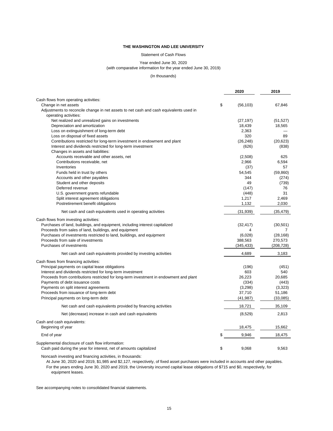Statement of Cash Flows

#### Year ended June 30, 2020 (with comparative information for the year ended June 30, 2019)

#### (In thousands)

|                                                                                        | 2020            | 2019       |
|----------------------------------------------------------------------------------------|-----------------|------------|
| Cash flows from operating activities:                                                  |                 |            |
| Change in net assets                                                                   | \$<br>(56, 103) | 67,846     |
| Adjustments to reconcile change in net assets to net cash and cash equivalents used in |                 |            |
| operating activities:                                                                  |                 |            |
| Net realized and unrealized gains on investments                                       | (27, 197)       | (51, 527)  |
| Depreciation and amortization                                                          | 18,439          | 18,565     |
| Loss on extinguishment of long-term debt                                               | 2,363           |            |
| Loss on disposal of fixed assets                                                       | 320             | 89         |
| Contributions restricted for long-term investment in endowment and plant               | (26, 248)       | (20, 623)  |
| Interest and dividends restricted for long-term investment                             | (626)           | (838)      |
| Changes in assets and liabilities:                                                     |                 |            |
| Accounts receivable and other assets, net                                              | (2,508)         | 625        |
| Contributions receivable, net                                                          | 2,966           | 6,594      |
| Inventories                                                                            | (37)            | 57         |
| Funds held in trust by others                                                          | 54,545          | (59, 860)  |
| Accounts and other payables                                                            | 344             | (274)      |
| Student and other deposits                                                             | 49              | (739)      |
| Deferred revenue                                                                       | (147)           | 76         |
| U.S. government grants refundable                                                      | (448)           | 31         |
| Split interest agreement obligations                                                   | 1,217           | 2,469      |
| Postretirement benefit obligations                                                     | 1,132           | 2,030      |
|                                                                                        |                 |            |
| Net cash and cash equivalents used in operating activities                             | (31, 939)       | (35, 479)  |
| Cash flows from investing activities:                                                  |                 |            |
| Purchases of land, buildings, and equipment, including interest capitalized            | (32, 417)       | (30, 501)  |
| Proceeds from sales of land, buildings, and equipment                                  | 4               | 7          |
| Purchases of investments restricted to land, buildings, and equipment                  | (6,028)         | (28, 168)  |
| Proceeds from sale of investments                                                      | 388,563         | 270,573    |
| Purchases of investments                                                               | (345, 433)      | (208, 728) |
| Net cash and cash equivalents provided by investing activities                         | 4,689           | 3,183      |
| Cash flows from financing activities:                                                  |                 |            |
| Principal payments on capital lease obligations                                        | (196)           | (451)      |
| Interest and dividends restricted for long-term investment                             | 603             | 540        |
| Proceeds from contributions restricted for long-term investment in endowment and plant | 26,223          | 20,685     |
| Payments of debt issuance costs                                                        | (334)           | (443)      |
| Payments on split interest agreements                                                  | (3,298)         | (3,323)    |
| Proceeds from issuance of long-term debt                                               | 37,710          | 51,186     |
| Principal payments on long-term debt                                                   | (41, 987)       | (33,085)   |
| Net cash and cash equivalents provided by financing activities                         | 18,721          | 35,109     |
| Net (decrease) increase in cash and cash equivalents                                   | (8,529)         | 2,813      |
|                                                                                        |                 |            |
| Cash and cash equivalents:<br>Beginning of year                                        | 18,475          | 15,662     |
|                                                                                        |                 |            |
| End of year                                                                            | \$<br>9,946     | 18,475     |
| Supplemental disclosure of cash flow information:                                      |                 |            |
| Cash paid during the year for interest, net of amounts capitalized                     | \$<br>9.068     | 9.563      |

Noncash investing and financing activities, in thousands:

At June 30, 2020 and 2019, \$1,985 and \$2,127, respectively, of fixed asset purchases were included in accounts and other payables. For the years ending June 30, 2020 and 2019, the University incurred capital lease obligations of \$715 and \$0, respectively, for equipment leases.

See accompanying notes to consolidated financial statements.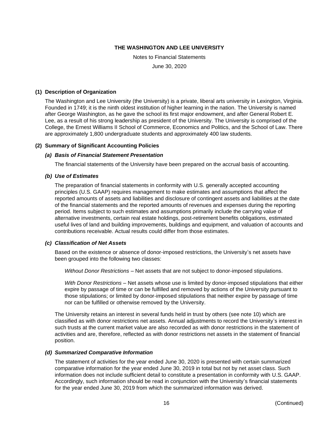Notes to Financial Statements

June 30, 2020

# **(1) Description of Organization**

The Washington and Lee University (the University) is a private, liberal arts university in Lexington, Virginia. Founded in 1749; it is the ninth oldest institution of higher learning in the nation. The University is named after George Washington, as he gave the school its first major endowment, and after General Robert E. Lee, as a result of his strong leadership as president of the University. The University is comprised of the College, the Ernest Williams II School of Commerce, Economics and Politics, and the School of Law. There are approximately 1,800 undergraduate students and approximately 400 law students.

# **(2) Summary of Significant Accounting Policies**

# *(a) Basis of Financial Statement Presentation*

The financial statements of the University have been prepared on the accrual basis of accounting.

# *(b) Use of Estimates*

The preparation of financial statements in conformity with U.S. generally accepted accounting principles (U.S. GAAP) requires management to make estimates and assumptions that affect the reported amounts of assets and liabilities and disclosure of contingent assets and liabilities at the date of the financial statements and the reported amounts of revenues and expenses during the reporting period. Items subject to such estimates and assumptions primarily include the carrying value of alternative investments, certain real estate holdings, post-retirement benefits obligations, estimated useful lives of land and building improvements, buildings and equipment, and valuation of accounts and contributions receivable. Actual results could differ from those estimates.

#### *(c) Classification of Net Assets*

Based on the existence or absence of donor-imposed restrictions, the University's net assets have been grouped into the following two classes:

*Without Donor Restrictions* – Net assets that are not subject to donor-imposed stipulations.

*With Donor Restrictions* – Net assets whose use is limited by donor-imposed stipulations that either expire by passage of time or can be fulfilled and removed by actions of the University pursuant to those stipulations; or limited by donor-imposed stipulations that neither expire by passage of time nor can be fulfilled or otherwise removed by the University.

The University retains an interest in several funds held in trust by others (see note 10) which are classified as with donor restrictions net assets. Annual adjustments to record the University's interest in such trusts at the current market value are also recorded as with donor restrictions in the statement of activities and are, therefore, reflected as with donor restrictions net assets in the statement of financial position.

#### *(d) Summarized Comparative Information*

The statement of activities for the year ended June 30, 2020 is presented with certain summarized comparative information for the year ended June 30, 2019 in total but not by net asset class. Such information does not include sufficient detail to constitute a presentation in conformity with U.S. GAAP. Accordingly, such information should be read in conjunction with the University's financial statements for the year ended June 30, 2019 from which the summarized information was derived.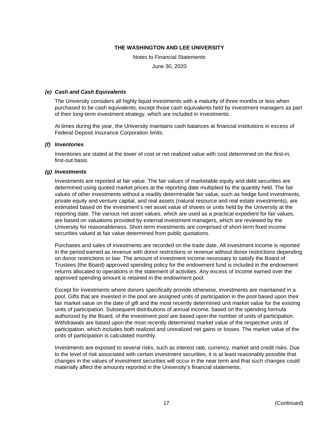Notes to Financial Statements

June 30, 2020

#### *(e) Cash and Cash Equivalents*

The University considers all highly liquid investments with a maturity of three months or less when purchased to be cash equivalents, except those cash equivalents held by investment managers as part of their long-term investment strategy, which are included in investments.

At times during the year, the University maintains cash balances at financial institutions in excess of Federal Deposit Insurance Corporation limits.

#### *(f) Inventories*

Inventories are stated at the lower of cost or net realized value with cost determined on the first-in, first-out basis.

#### *(g) Investments*

Investments are reported at fair value. The fair values of marketable equity and debt securities are determined using quoted market prices at the reporting date multiplied by the quantity held. The fair values of other investments without a readily determinable fair value, such as hedge fund investments, private equity and venture capital, and real assets (natural resource and real estate investments), are estimated based on the investment's net asset value of shares or units held by the University at the reporting date. The various net asset values, which are used as a practical expedient for fair values, are based on valuations provided by external investment managers, which are reviewed by the University for reasonableness. Short-term investments are comprised of short-term fixed income securities valued at fair value determined from public quotations.

Purchases and sales of investments are recorded on the trade date. All investment income is reported in the period earned as revenue with donor restrictions or revenue without donor restrictions depending on donor restrictions or law. The amount of investment income necessary to satisfy the Board of Trustees (the Board) approved spending policy for the endowment fund is included in the endowment returns allocated to operations in the statement of activities. Any excess of income earned over the approved spending amount is retained in the endowment pool.

Except for investments where donors specifically provide otherwise, investments are maintained in a pool. Gifts that are invested in the pool are assigned units of participation in the pool based upon their fair market value on the date of gift and the most recently determined unit market value for the existing units of participation. Subsequent distributions of annual income, based on the spending formula authorized by the Board, of the investment pool are based upon the number of units of participation. Withdrawals are based upon the most recently determined market value of the respective units of participation, which includes both realized and unrealized net gains or losses. The market value of the units of participation is calculated monthly.

Investments are exposed to several risks, such as interest rate, currency, market and credit risks. Due to the level of risk associated with certain investment securities, it is at least reasonably possible that changes in the values of investment securities will occur in the near term and that such changes could materially affect the amounts reported in the University's financial statements.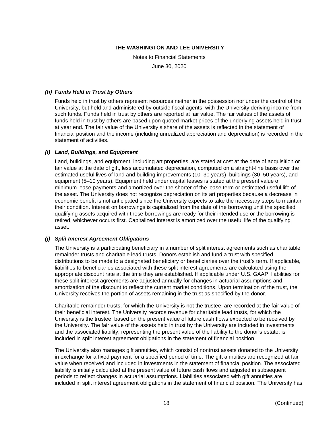Notes to Financial Statements

June 30, 2020

# *(h) Funds Held in Trust by Others*

Funds held in trust by others represent resources neither in the possession nor under the control of the University, but held and administered by outside fiscal agents, with the University deriving income from such funds. Funds held in trust by others are reported at fair value. The fair values of the assets of funds held in trust by others are based upon quoted market prices of the underlying assets held in trust at year end. The fair value of the University's share of the assets is reflected in the statement of financial position and the income (including unrealized appreciation and depreciation) is recorded in the statement of activities.

# *(i) Land, Buildings, and Equipment*

Land, buildings, and equipment, including art properties, are stated at cost at the date of acquisition or fair value at the date of gift, less accumulated depreciation, computed on a straight-line basis over the estimated useful lives of land and building improvements (10–30 years), buildings (30–50 years), and equipment (5–10 years). Equipment held under capital leases is stated at the present value of minimum lease payments and amortized over the shorter of the lease term or estimated useful life of the asset. The University does not recognize depreciation on its art properties because a decrease in economic benefit is not anticipated since the University expects to take the necessary steps to maintain their condition. Interest on borrowings is capitalized from the date of the borrowing until the specified qualifying assets acquired with those borrowings are ready for their intended use or the borrowing is retired, whichever occurs first. Capitalized interest is amortized over the useful life of the qualifying asset.

# *(j) Split Interest Agreement Obligations*

The University is a participating beneficiary in a number of split interest agreements such as charitable remainder trusts and charitable lead trusts. Donors establish and fund a trust with specified distributions to be made to a designated beneficiary or beneficiaries over the trust's term. If applicable, liabilities to beneficiaries associated with these split interest agreements are calculated using the appropriate discount rate at the time they are established. If applicable under U.S. GAAP, liabilities for these split interest agreements are adjusted annually for changes in actuarial assumptions and amortization of the discount to reflect the current market conditions. Upon termination of the trust, the University receives the portion of assets remaining in the trust as specified by the donor.

Charitable remainder trusts, for which the University is not the trustee, are recorded at the fair value of their beneficial interest. The University records revenue for charitable lead trusts, for which the University is the trustee, based on the present value of future cash flows expected to be received by the University. The fair value of the assets held in trust by the University are included in investments and the associated liability, representing the present value of the liability to the donor's estate, is included in split interest agreement obligations in the statement of financial position.

The University also manages gift annuities, which consist of nontrust assets donated to the University in exchange for a fixed payment for a specified period of time. The gift annuities are recognized at fair value when received and included in investments in the statement of financial position. The associated liability is initially calculated at the present value of future cash flows and adjusted in subsequent periods to reflect changes in actuarial assumptions. Liabilities associated with gift annuities are included in split interest agreement obligations in the statement of financial position. The University has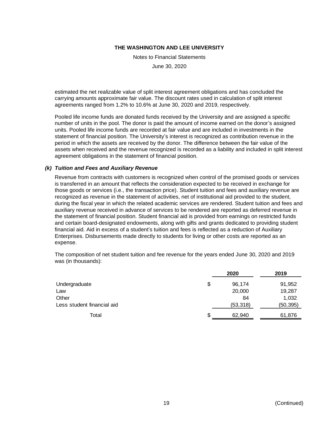Notes to Financial Statements

June 30, 2020

estimated the net realizable value of split interest agreement obligations and has concluded the carrying amounts approximate fair value. The discount rates used in calculation of split interest agreements ranged from 1.2% to 10.6% at June 30, 2020 and 2019, respectively.

Pooled life income funds are donated funds received by the University and are assigned a specific number of units in the pool. The donor is paid the amount of income earned on the donor's assigned units. Pooled life income funds are recorded at fair value and are included in investments in the statement of financial position. The University's interest is recognized as contribution revenue in the period in which the assets are received by the donor. The difference between the fair value of the assets when received and the revenue recognized is recorded as a liability and included in split interest agreement obligations in the statement of financial position.

#### *(k) Tuition and Fees and Auxiliary Revenue*

Revenue from contracts with customers is recognized when control of the promised goods or services is transferred in an amount that reflects the consideration expected to be received in exchange for those goods or services (i.e., the transaction price). Student tuition and fees and auxiliary revenue are recognized as revenue in the statement of activities, net of institutional aid provided to the student, during the fiscal year in which the related academic services are rendered. Student tuition and fees and auxiliary revenue received in advance of services to be rendered are reported as deferred revenue in the statement of financial position. Student financial aid is provided from earnings on restricted funds and certain board-designated endowments, along with gifts and grants dedicated to providing student financial aid. Aid in excess of a student's tuition and fees is reflected as a reduction of Auxiliary Enterprises. Disbursements made directly to students for living or other costs are reported as an expense.

The composition of net student tuition and fee revenue for the years ended June 30, 2020 and 2019 was (in thousands):

|                            | 2020         | 2019      |
|----------------------------|--------------|-----------|
| Undergraduate              | \$<br>96,174 | 91,952    |
| Law                        | 20,000       | 19,287    |
| Other                      | 84           | 1,032     |
| Less student financial aid | (53, 318)    | (50, 395) |
| Total                      | \$<br>62,940 | 61,876    |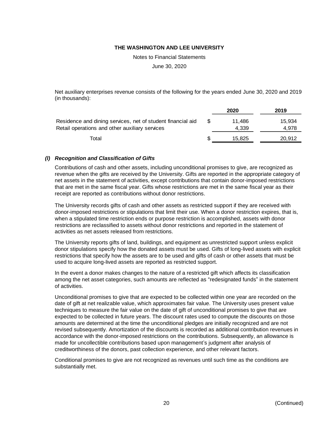Notes to Financial Statements

June 30, 2020

Net auxiliary enterprises revenue consists of the following for the years ended June 30, 2020 and 2019 (in thousands):

|                                                                                                               | 2020            | 2019            |
|---------------------------------------------------------------------------------------------------------------|-----------------|-----------------|
| Residence and dining services, net of student financial aid<br>Retail operations and other auxiliary services | 11.486<br>4.339 | 15.934<br>4.978 |
| Total                                                                                                         | 15.825          | 20.912          |

#### *(l) Recognition and Classification of Gifts*

Contributions of cash and other assets, including unconditional promises to give, are recognized as revenue when the gifts are received by the University. Gifts are reported in the appropriate category of net assets in the statement of activities, except contributions that contain donor-imposed restrictions that are met in the same fiscal year. Gifts whose restrictions are met in the same fiscal year as their receipt are reported as contributions without donor restrictions.

The University records gifts of cash and other assets as restricted support if they are received with donor-imposed restrictions or stipulations that limit their use. When a donor restriction expires, that is, when a stipulated time restriction ends or purpose restriction is accomplished, assets with donor restrictions are reclassified to assets without donor restrictions and reported in the statement of activities as net assets released from restrictions.

The University reports gifts of land, buildings, and equipment as unrestricted support unless explicit donor stipulations specify how the donated assets must be used. Gifts of long-lived assets with explicit restrictions that specify how the assets are to be used and gifts of cash or other assets that must be used to acquire long-lived assets are reported as restricted support.

In the event a donor makes changes to the nature of a restricted gift which affects its classification among the net asset categories, such amounts are reflected as "redesignated funds" in the statement of activities.

Unconditional promises to give that are expected to be collected within one year are recorded on the date of gift at net realizable value, which approximates fair value. The University uses present value techniques to measure the fair value on the date of gift of unconditional promises to give that are expected to be collected in future years. The discount rates used to compute the discounts on those amounts are determined at the time the unconditional pledges are initially recognized and are not revised subsequently. Amortization of the discounts is recorded as additional contribution revenues in accordance with the donor-imposed restrictions on the contributions. Subsequently, an allowance is made for uncollectible contributions based upon management's judgment after analysis of creditworthiness of the donors, past collection experience, and other relevant factors.

Conditional promises to give are not recognized as revenues until such time as the conditions are substantially met.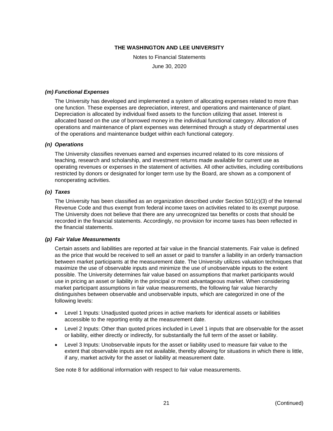Notes to Financial Statements

June 30, 2020

#### *(m) Functional Expenses*

The University has developed and implemented a system of allocating expenses related to more than one function. These expenses are depreciation, interest, and operations and maintenance of plant. Depreciation is allocated by individual fixed assets to the function utilizing that asset. Interest is allocated based on the use of borrowed money in the individual functional category. Allocation of operations and maintenance of plant expenses was determined through a study of departmental uses of the operations and maintenance budget within each functional category.

# *(n) Operations*

The University classifies revenues earned and expenses incurred related to its core missions of teaching, research and scholarship, and investment returns made available for current use as operating revenues or expenses in the statement of activities. All other activities, including contributions restricted by donors or designated for longer term use by the Board, are shown as a component of nonoperating activities.

# *(o) Taxes*

The University has been classified as an organization described under Section 501(c)(3) of the Internal Revenue Code and thus exempt from federal income taxes on activities related to its exempt purpose. The University does not believe that there are any unrecognized tax benefits or costs that should be recorded in the financial statements. Accordingly, no provision for income taxes has been reflected in the financial statements.

#### *(p) Fair Value Measurements*

Certain assets and liabilities are reported at fair value in the financial statements. Fair value is defined as the price that would be received to sell an asset or paid to transfer a liability in an orderly transaction between market participants at the measurement date. The University utilizes valuation techniques that maximize the use of observable inputs and minimize the use of unobservable inputs to the extent possible. The University determines fair value based on assumptions that market participants would use in pricing an asset or liability in the principal or most advantageous market. When considering market participant assumptions in fair value measurements, the following fair value hierarchy distinguishes between observable and unobservable inputs, which are categorized in one of the following levels:

- Level 1 Inputs: Unadjusted quoted prices in active markets for identical assets or liabilities accessible to the reporting entity at the measurement date.
- Level 2 Inputs: Other than quoted prices included in Level 1 inputs that are observable for the asset or liability, either directly or indirectly, for substantially the full term of the asset or liability.
- Level 3 Inputs: Unobservable inputs for the asset or liability used to measure fair value to the extent that observable inputs are not available, thereby allowing for situations in which there is little, if any, market activity for the asset or liability at measurement date.

See note 8 for additional information with respect to fair value measurements.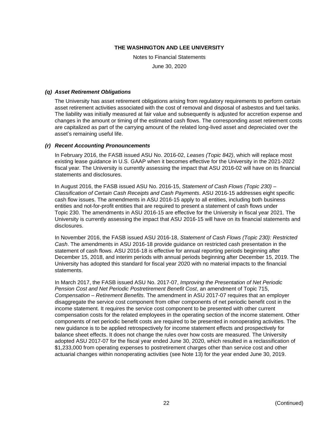Notes to Financial Statements

June 30, 2020

#### *(q) Asset Retirement Obligations*

The University has asset retirement obligations arising from regulatory requirements to perform certain asset retirement activities associated with the cost of removal and disposal of asbestos and fuel tanks. The liability was initially measured at fair value and subsequently is adjusted for accretion expense and changes in the amount or timing of the estimated cash flows. The corresponding asset retirement costs are capitalized as part of the carrying amount of the related long-lived asset and depreciated over the asset's remaining useful life.

# *(r) Recent Accounting Pronouncements*

In February 2016, the FASB issued ASU No. 2016-02, *Leases (Topic 842)*, which will replace most existing lease guidance in U.S. GAAP when it becomes effective for the University in the 2021-2022 fiscal year. The University is currently assessing the impact that ASU 2016-02 will have on its financial statements and disclosures.

In August 2016, the FASB issued ASU No. 2016-15, *Statement of Cash Flows (Topic 230) – Classification of Certain Cash Receipts and Cash Payments*. ASU 2016-15 addresses eight specific cash flow issues. The amendments in ASU 2016-15 apply to all entities, including both business entities and not-for-profit entities that are required to present a statement of cash flows under Topic 230. The amendments in ASU 2016-15 are effective for the University in fiscal year 2021. The University is currently assessing the impact that ASU 2016-15 will have on its financial statements and disclosures.

In November 2016, the FASB issued ASU 2016-18, *Statement of Cash Flows (Topic 230): Restricted Cash*. The amendments in ASU 2016-18 provide guidance on restricted cash presentation in the statement of cash flows. ASU 2016-18 is effective for annual reporting periods beginning after December 15, 2018, and interim periods with annual periods beginning after December 15, 2019. The University has adopted this standard for fiscal year 2020 with no material impacts to the financial statements.

In March 2017, the FASB issued ASU No. 2017-07, *Improving the Presentation of Net Periodic Pension Cost and Net Periodic Postretirement Benefit Cost*, an amendment of Topic 715, *Compensation – Retirement Benefits*. The amendment in ASU 2017-07 requires that an employer disaggregate the service cost component from other components of net periodic benefit cost in the income statement. It requires the service cost component to be presented with other current compensation costs for the related employees in the operating section of the income statement. Other components of net periodic benefit costs are required to be presented in nonoperating activities. The new guidance is to be applied retrospectively for income statement effects and prospectively for balance sheet effects. It does not change the rules over how costs are measured. The University adopted ASU 2017-07 for the fiscal year ended June 30, 2020, which resulted in a reclassification of \$1,233,000 from operating expenses to postretirement charges other than service cost and other actuarial changes within nonoperating activities (see Note 13) for the year ended June 30, 2019.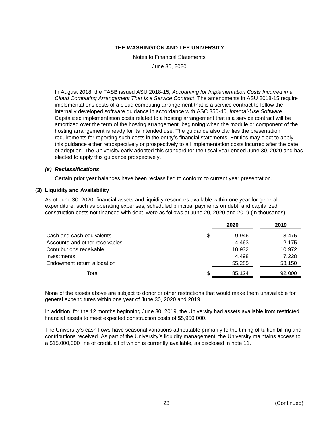Notes to Financial Statements

June 30, 2020

In August 2018, the FASB issued ASU 2018-15, *Accounting for Implementation Costs Incurred in a Cloud Computing Arrangement That Is a Service Contract*. The amendments in ASU 2018-15 require implementations costs of a cloud computing arrangement that is a service contract to follow the internally developed software guidance in accordance with ASC 350-40, *Internal-Use Software*. Capitalized implementation costs related to a hosting arrangement that is a service contract will be amortized over the term of the hosting arrangement, beginning when the module or component of the hosting arrangement is ready for its intended use. The guidance also clarifies the presentation requirements for reporting such costs in the entity's financial statements. Entities may elect to apply this guidance either retrospectively or prospectively to all implementation costs incurred after the date of adoption. The University early adopted this standard for the fiscal year ended June 30, 2020 and has elected to apply this guidance prospectively.

#### *(s) Reclassifications*

Certain prior year balances have been reclassified to conform to current year presentation.

#### **(3) Liquidity and Availability**

As of June 30, 2020, financial assets and liquidity resources available within one year for general expenditure, such as operating expenses, scheduled principal payments on debt, and capitalized construction costs not financed with debt, were as follows at June 20, 2020 and 2019 (in thousands):

|                                |     | 2020   | 2019   |
|--------------------------------|-----|--------|--------|
| Cash and cash equivalents      | \$  | 9.946  | 18,475 |
| Accounts and other receivables |     | 4,463  | 2,175  |
| Contributions receivable       |     | 10,932 | 10,972 |
| Investments                    |     | 4.498  | 7,228  |
| Endowment return allocation    |     | 55,285 | 53,150 |
| Total                          | \$. | 85,124 | 92,000 |

None of the assets above are subject to donor or other restrictions that would make them unavailable for general expenditures within one year of June 30, 2020 and 2019.

In addition, for the 12 months beginning June 30, 2019, the University had assets available from restricted financial assets to meet expected construction costs of \$5,950,000.

The University's cash flows have seasonal variations attributable primarily to the timing of tuition billing and contributions received. As part of the University's liquidity management, the University maintains access to a \$15,000,000 line of credit, all of which is currently available, as disclosed in note 11.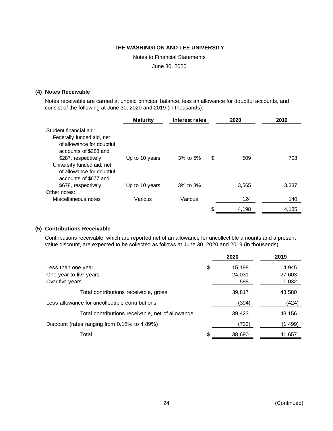Notes to Financial Statements

June 30, 2020

# **(4) Notes Receivable**

Notes receivable are carried at unpaid principal balance, less an allowance for doubtful accounts, and consist of the following at June 30, 2020 and 2019 (in thousands):

|                            | <b>Maturity</b> | Interest rates | 2020        | 2019  |
|----------------------------|-----------------|----------------|-------------|-------|
| Student financial aid:     |                 |                |             |       |
| Federally funded aid, net  |                 |                |             |       |
| of allowance for doubtful  |                 |                |             |       |
| accounts of \$288 and      |                 |                |             |       |
| \$287, respectively        | Up to 10 years  | $3%$ to $5%$   | \$<br>509   | 708   |
| University funded aid, net |                 |                |             |       |
| of allowance for doubtful  |                 |                |             |       |
| accounts of \$677 and      |                 |                |             |       |
| \$678, respectively        | Up to 10 years  | 3% to 8%       | 3,565       | 3,337 |
| Other notes:               |                 |                |             |       |
| Miscellaneous notes        | Various         | Various        | 124         | 140   |
|                            |                 |                | \$<br>4,198 | 4,185 |

# **(5) Contributions Receivable**

Contributions receivable, which are reported net of an allowance for uncollectible amounts and a present value discount, are expected to be collected as follows at June 30, 2020 and 2019 (in thousands):

|                                                  | 2020         | 2019     |
|--------------------------------------------------|--------------|----------|
| Less than one year                               | \$<br>15,198 | 14,945   |
| One year to five years                           | 24,031       | 27,603   |
| Over five years                                  | 588          | 1,032    |
| Total contributions receivable, gross            | 39,817       | 43,580   |
| Less allowance for uncollectible contributions   | (394)        | (424)    |
| Total contributions receivable, net of allowance | 39,423       | 43,156   |
| Discount (rates ranging from 0.18% to 4.89%)     | (733)        | (1, 499) |
| Total                                            | \$<br>38.690 | 41,657   |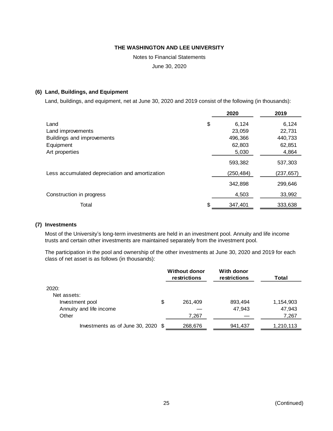Notes to Financial Statements

June 30, 2020

#### **(6) Land, Buildings, and Equipment**

Land, buildings, and equipment, net at June 30, 2020 and 2019 consist of the following (in thousands):

|                                                | 2020          | 2019       |
|------------------------------------------------|---------------|------------|
| Land                                           | \$<br>6,124   | 6,124      |
| Land improvements                              | 23,059        | 22,731     |
| Buildings and improvements                     | 496,366       | 440,733    |
| Equipment                                      | 62,803        | 62,851     |
| Art properties                                 | 5,030         | 4,864      |
|                                                | 593,382       | 537,303    |
| Less accumulated depreciation and amortization | (250,484)     | (237, 657) |
|                                                | 342,898       | 299,646    |
| Construction in progress                       | 4,503         | 33,992     |
| Total                                          | \$<br>347,401 | 333,638    |

# **(7) Investments**

Most of the University's long-term investments are held in an investment pool. Annuity and life income trusts and certain other investments are maintained separately from the investment pool.

The participation in the pool and ownership of the other investments at June 30, 2020 and 2019 for each class of net asset is as follows (in thousands):

|                                     | <b>Without donor</b><br>restrictions | With donor<br>restrictions | Total     |
|-------------------------------------|--------------------------------------|----------------------------|-----------|
| 2020:                               |                                      |                            |           |
| Net assets:                         |                                      |                            |           |
| Investment pool                     | \$<br>261,409                        | 893,494                    | 1,154,903 |
| Annuity and life income             |                                      | 47,943                     | 47,943    |
| Other                               | 7,267                                |                            | 7,267     |
| Investments as of June 30, 2020 $$$ | 268,676                              | 941,437                    | 1,210,113 |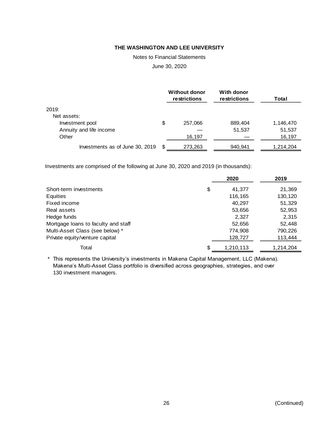### Notes to Financial Statements

June 30, 2020

|                                 |     | <b>Without donor</b><br>restrictions | With donor<br>restrictions | Total     |
|---------------------------------|-----|--------------------------------------|----------------------------|-----------|
| 2019:                           |     |                                      |                            |           |
| Net assets:                     |     |                                      |                            |           |
| Investment pool                 | \$  | 257.066                              | 889,404                    | 1,146,470 |
| Annuity and life income         |     |                                      | 51,537                     | 51,537    |
| Other                           |     | 16,197                               |                            | 16,197    |
| Investments as of June 30, 2019 | \$. | 273,263                              | 940,941                    | 1,214,204 |

Investments are comprised of the following at June 30, 2020 and 2019 (in thousands):

|                                     |    | 2020      | 2019      |
|-------------------------------------|----|-----------|-----------|
| Short-term investments              | \$ | 41,377    | 21,369    |
| Equities                            |    | 116,165   | 130,120   |
| Fixed income                        |    | 40,297    | 51,329    |
| Real assets                         |    | 53,656    | 52,953    |
| Hedge funds                         |    | 2,327     | 2,315     |
| Mortgage loans to faculty and staff |    | 52,656    | 52,448    |
| Multi-Asset Class (see below) *     |    | 774,908   | 790,226   |
| Private equity/venture capital      |    | 128,727   | 113,444   |
| Total                               | S  | 1,210,113 | 1,214,204 |

\* This represents the University's investments in Makena Capital Management, LLC (Makena). Makena's Multi-Asset Class portfolio is diversified across geographies, strategies, and over 130 investment managers.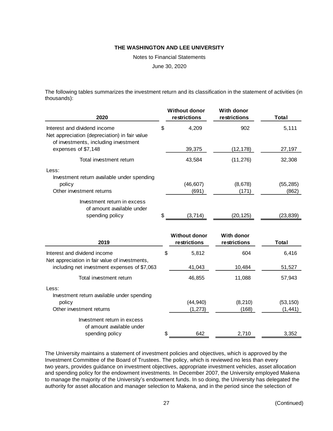Notes to Financial Statements

June 30, 2020

The following tables summarizes the investment return and its classification in the statement of activities (in thousands):

| 2020                                                                                                                  | <b>Without donor</b><br>restrictions | With donor<br>restrictions  | Total                           |
|-----------------------------------------------------------------------------------------------------------------------|--------------------------------------|-----------------------------|---------------------------------|
| Interest and dividend income<br>Net appreciation (depreciation) in fair value<br>of investments, including investment | \$<br>4,209                          | 902                         | 5,111                           |
| expenses of \$7,148                                                                                                   | 39,375                               | (12, 178)                   | 27,197                          |
| Total investment return                                                                                               | 43,584                               | (11, 276)                   | 32,308                          |
| Less:<br>Investment return available under spending<br>policy<br>Other investment returns                             | (46, 607)<br>(691)                   | (8,678)<br>(171)            | (55, 285)<br>(862)              |
| Investment return in excess<br>of amount available under<br>spending policy                                           | \$<br>(3,714)                        | (20, 125)                   | (23, 839)                       |
| 2019                                                                                                                  | <b>Without donor</b><br>restrictions | With donor<br>restrictions  | Total                           |
| Interest and dividend income<br>Net appreciation in fair value of investments,                                        | \$<br>5,812                          | 604                         | 6,416                           |
| including net investment expenses of \$7,063                                                                          | 41,043                               | 10,484                      | 51,527                          |
| Total investment return<br>Less:<br>Investment return available under spending<br>policy<br>Other investment returns  | 46,855<br>(44, 940)<br>(1, 273)      | 11,088<br>(8, 210)<br>(168) | 57,943<br>(53, 150)<br>(1, 441) |
| Investment return in excess                                                                                           |                                      |                             |                                 |

The University maintains a statement of investment policies and objectives, which is approved by the Investment Committee of the Board of Trustees. The policy, which is reviewed no less than every two years, provides guidance on investment objectives, appropriate investment vehicles, asset allocation and spending policy for the endowment investments. In December 2007, the University employed Makena to manage the majority of the University's endowment funds. In so doing, the University has delegated the authority for asset allocation and manager selection to Makena, and in the period since the selection of

spending policy  $$ 642 \t 2,710 \t 3,352$ 

of amount available under

27 (Continued)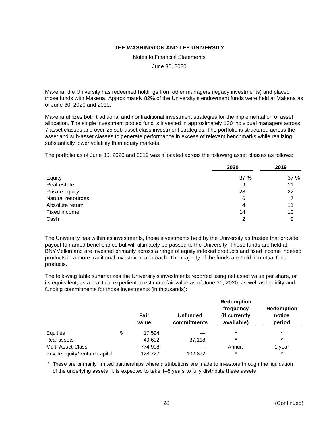Notes to Financial Statements

June 30, 2020

Makena, the University has redeemed holdings from other managers (legacy investments) and placed those funds with Makena. Approximately 82% of the University's endowment funds were held at Makena as of June 30, 2020 and 2019.

Makena utilizes both traditional and nontraditional investment strategies for the implementation of asset allocation. The single investment pooled fund is invested in approximately 130 individual managers across 7 asset classes and over 25 sub-asset class investment strategies. The portfolio is structured across the asset and sub-asset classes to generate performance in excess of relevant benchmarks while realizing substantially lower volatility than equity markets.

The portfolio as of June 30, 2020 and 2019 was allocated across the following asset classes as follows:

|                   | 2020 | 2019 |
|-------------------|------|------|
| Equity            | 37%  | 37 % |
| Real estate       | 9    | 11   |
| Private equity    | 28   | 22   |
| Natural resources | 6    | 7    |
| Absolute return   | 4    | 11   |
| Fixed income      | 14   | 10   |
| Cash              | 2    | 2    |

The University has within its investments, those investments held by the University as trustee that provide payout to named beneficiaries but will ultimately be passed to the University. These funds are held at BNYMellon and are invested primarily across a range of equity indexed products and fixed income indexed products in a more traditional investment approach. The majority of the funds are held in mutual fund products.

The following table summarizes the University's investments reported using net asset value per share, or its equivalent, as a practical expedient to estimate fair value as of June 30, 2020, as well as liquidity and funding commitments for those investments (in thousands):

|                                | <b>Redemption</b> |                                |                                          |                                       |  |  |
|--------------------------------|-------------------|--------------------------------|------------------------------------------|---------------------------------------|--|--|
|                                | Fair<br>value     | <b>Unfunded</b><br>commitments | frequency<br>(if currently<br>available) | <b>Redemption</b><br>notice<br>period |  |  |
| Equities                       | \$<br>17.594      |                                | $\star$                                  | $\star$                               |  |  |
| Real assets                    | 49,692            | 37,118                         | $\star$                                  | $\star$                               |  |  |
| <b>Multi-Asset Class</b>       | 774,908           |                                | Annual                                   | year                                  |  |  |
| Private equity/venture capital | 128,727           | 102,872                        | $\star$                                  | $\star$                               |  |  |

\* These are primarily limited partnerships where distributions are made to investors through the liquidation of the underlying assets. It is expected to take 1–5 years to fully distribute these assets.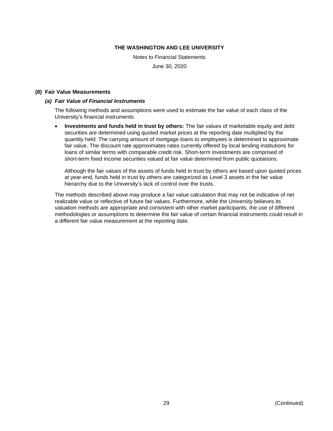Notes to Financial Statements

June 30, 2020

#### **(8) Fair Value Measurements**

#### *(a) Fair Value of Financial Instruments*

The following methods and assumptions were used to estimate the fair value of each class of the University's financial instruments.

• **Investments and funds held in trust by others:** The fair values of marketable equity and debt securities are determined using quoted market prices at the reporting date multiplied by the quantity held. The carrying amount of mortgage loans to employees is determined to approximate fair value. The discount rate approximates rates currently offered by local lending institutions for loans of similar terms with comparable credit risk. Short-term investments are comprised of short-term fixed income securities valued at fair value determined from public quotations.

Although the fair values of the assets of funds held in trust by others are based upon quoted prices at year-end, funds held in trust by others are categorized as Level 3 assets in the fair value hierarchy due to the University's lack of control over the trusts.

The methods described above may produce a fair value calculation that may not be indicative of net realizable value or reflective of future fair values. Furthermore, while the University believes its valuation methods are appropriate and consistent with other market participants, the use of different methodologies or assumptions to determine the fair value of certain financial instruments could result in a different fair value measurement at the reporting date.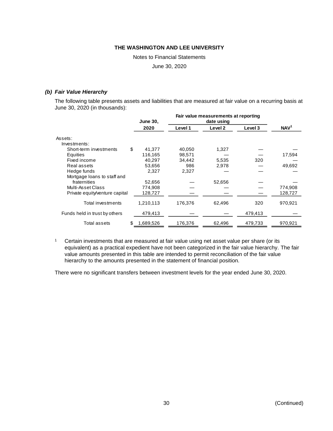Notes to Financial Statements

June 30, 2020

### *(b) Fair Value Hierarchy*

The following table presents assets and liabilities that are measured at fair value on a recurring basis at June 30, 2020 (in thousands):

|                                | <b>June 30,</b> | Fair value measurements at reporting<br>date using |         |         |                  |  |
|--------------------------------|-----------------|----------------------------------------------------|---------|---------|------------------|--|
|                                | 2020            | Level 1                                            | Level 2 | Level 3 | NAV <sup>1</sup> |  |
| Assets:                        |                 |                                                    |         |         |                  |  |
| Investments:                   |                 |                                                    |         |         |                  |  |
| Short-term investments         | \$<br>41,377    | 40,050                                             | 1,327   |         |                  |  |
| Equities                       | 116,165         | 98,571                                             |         |         | 17,594           |  |
| Fixed income                   | 40,297          | 34,442                                             | 5,535   | 320     |                  |  |
| Real assets                    | 53,656          | 986                                                | 2,978   |         | 49,692           |  |
| Hedge funds                    | 2,327           | 2,327                                              |         |         |                  |  |
| Mortgage loans to staff and    |                 |                                                    |         |         |                  |  |
| fraternities                   | 52,656          |                                                    | 52,656  |         |                  |  |
| Multi-Asset Class              | 774.908         |                                                    |         |         | 774,908          |  |
| Private equity/venture capital | 128,727         |                                                    |         |         | 128,727          |  |
| Total investments              | 1,210,113       | 176,376                                            | 62,496  | 320     | 970,921          |  |
| Funds held in trust by others  | 479,413         |                                                    |         | 479,413 |                  |  |
| Total assets                   | 1,689,526<br>S  | 176,376                                            | 62,496  | 479,733 | 970,921          |  |

<sup>1</sup> Certain investments that are measured at fair value using net asset value per share (or its equivalent) as a practical expedient have not been categorized in the fair value hierarchy. The fair value amounts presented in this table are intended to permit reconciliation of the fair value hierarchy to the amounts presented in the statement of financial position.

There were no significant transfers between investment levels for the year ended June 30, 2020.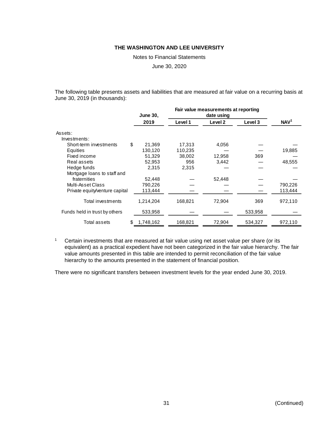Notes to Financial Statements

June 30, 2020

The following table presents assets and liabilities that are measured at fair value on a recurring basis at June 30, 2019 (in thousands):

|                                | <b>June 30,</b> |         |         |         |                  |
|--------------------------------|-----------------|---------|---------|---------|------------------|
|                                | 2019            | Level 1 | Level 2 | Level 3 | NAV <sup>1</sup> |
| Assets:                        |                 |         |         |         |                  |
| Investments:                   |                 |         |         |         |                  |
| Short-term investments         | \$<br>21,369    | 17,313  | 4,056   |         |                  |
| Equities                       | 130,120         | 110,235 |         |         | 19,885           |
| Fixed income                   | 51,329          | 38,002  | 12,958  | 369     |                  |
| Real assets                    | 52,953          | 956     | 3,442   |         | 48,555           |
| Hedge funds                    | 2,315           | 2,315   |         |         |                  |
| Mortgage loans to staff and    |                 |         |         |         |                  |
| fraternities                   | 52.448          |         | 52,448  |         |                  |
| Multi-Asset Class              | 790.226         |         |         |         | 790,226          |
| Private equity/venture capital | 113,444         |         |         |         | 113,444          |
| Total investments              | 1,214,204       | 168,821 | 72,904  | 369     | 972,110          |
| Funds held in trust by others  | 533,958         |         |         | 533,958 |                  |
| Total assets                   | 1,748,162       | 168,821 | 72,904  | 534,327 | 972,110          |

<sup>1</sup> Certain investments that are measured at fair value using net asset value per share (or its equivalent) as a practical expedient have not been categorized in the fair value hierarchy. The fair value amounts presented in this table are intended to permit reconciliation of the fair value hierarchy to the amounts presented in the statement of financial position.

There were no significant transfers between investment levels for the year ended June 30, 2019.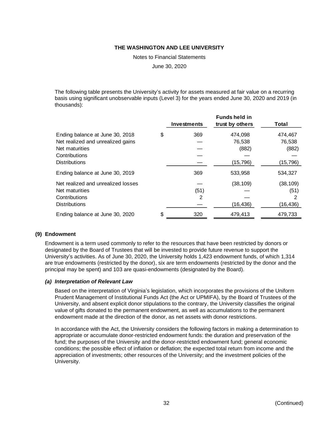Notes to Financial Statements

June 30, 2020

The following table presents the University's activity for assets measured at fair value on a recurring basis using significant unobservable inputs (Level 3) for the years ended June 30, 2020 and 2019 (in thousands):

|                                    | <b>Investments</b> | <b>Funds held in</b><br>trust by others | Total     |
|------------------------------------|--------------------|-----------------------------------------|-----------|
| Ending balance at June 30, 2018    | \$<br>369          | 474,098                                 | 474,467   |
| Net realized and unrealized gains  |                    | 76,538                                  | 76,538    |
| Net maturities                     |                    | (882)                                   | (882)     |
| Contributions                      |                    |                                         |           |
| <b>Distributions</b>               |                    | (15, 796)                               | (15,796)  |
| Ending balance at June 30, 2019    | 369                | 533,958                                 | 534,327   |
| Net realized and unrealized losses |                    | (38, 109)                               | (38, 109) |
| Net maturities                     | (51)               |                                         | (51)      |
| Contributions                      | 2                  |                                         |           |
| <b>Distributions</b>               |                    | (16, 436)                               | (16, 436) |
| Ending balance at June 30, 2020    | \$<br>320          | 479.413                                 | 479.733   |

#### **(9) Endowment**

Endowment is a term used commonly to refer to the resources that have been restricted by donors or designated by the Board of Trustees that will be invested to provide future revenue to support the University's activities. As of June 30, 2020, the University holds 1,423 endowment funds, of which 1,314 are true endowments (restricted by the donor), six are term endowments (restricted by the donor and the principal may be spent) and 103 are quasi-endowments (designated by the Board).

#### *(a) Interpretation of Relevant Law*

Based on the interpretation of Virginia's legislation, which incorporates the provisions of the Uniform Prudent Management of Institutional Funds Act (the Act or UPMIFA), by the Board of Trustees of the University, and absent explicit donor stipulations to the contrary, the University classifies the original value of gifts donated to the permanent endowment, as well as accumulations to the permanent endowment made at the direction of the donor, as net assets with donor restrictions.

In accordance with the Act, the University considers the following factors in making a determination to appropriate or accumulate donor-restricted endowment funds: the duration and preservation of the fund; the purposes of the University and the donor-restricted endowment fund; general economic conditions; the possible effect of inflation or deflation; the expected total return from income and the appreciation of investments; other resources of the University; and the investment policies of the University.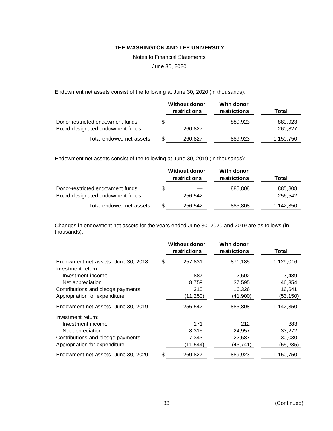Notes to Financial Statements

June 30, 2020

Endowment net assets consist of the following at June 30, 2020 (in thousands):

|                                  |    | <b>Without donor</b><br>restrictions | With donor<br><b>restrictions</b> | Total     |
|----------------------------------|----|--------------------------------------|-----------------------------------|-----------|
| Donor-restricted endowment funds | \$ |                                      | 889.923                           | 889,923   |
| Board-designated endowment funds |    | 260,827                              |                                   | 260,827   |
| Total endowed net assets         | S  | 260,827                              | 889,923                           | 1,150,750 |

Endowment net assets consist of the following at June 30, 2019 (in thousands):

|                                  | <b>Without donor</b><br>restrictions | With donor<br>restrictions | Total     |
|----------------------------------|--------------------------------------|----------------------------|-----------|
| Donor-restricted endowment funds |                                      | 885,808                    | 885,808   |
| Board-designated endowment funds | 256,542                              |                            | 256,542   |
| Total endowed net assets         | 256,542                              | 885,808                    | 1,142,350 |

Changes in endowment net assets for the years ended June 30, 2020 and 2019 are as follows (in thousands):

|                                     | <b>Without donor</b><br>restrictions | With donor<br>restrictions | Total     |
|-------------------------------------|--------------------------------------|----------------------------|-----------|
| Endowment net assets, June 30, 2018 | \$<br>257,831                        | 871,185                    | 1,129,016 |
| Investment return:                  |                                      |                            |           |
| Investment income                   | 887                                  | 2,602                      | 3,489     |
| Net appreciation                    | 8,759                                | 37,595                     | 46,354    |
| Contributions and pledge payments   | 315                                  | 16,326                     | 16,641    |
| Appropriation for expenditure       | (11, 250)                            | (41, 900)                  | (53, 150) |
| Endowment net assets, June 30, 2019 | 256,542                              | 885,808                    | 1,142,350 |
| Investment return:                  |                                      |                            |           |
| Investment income                   | 171                                  | 212                        | 383       |
| Net appreciation                    | 8,315                                | 24,957                     | 33,272    |
| Contributions and pledge payments   | 7,343                                | 22,687                     | 30,030    |
| Appropriation for expenditure       | (11,544)                             | (43, 741)                  | (55, 285) |
| Endowment net assets, June 30, 2020 | \$<br>260,827                        | 889,923                    | 1,150,750 |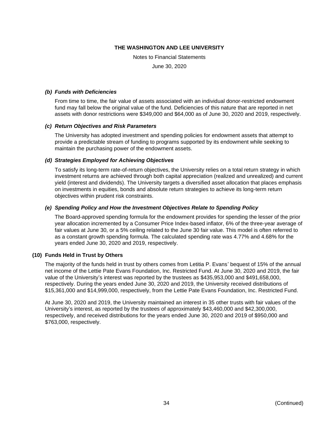Notes to Financial Statements

June 30, 2020

#### *(b) Funds with Deficiencies*

From time to time, the fair value of assets associated with an individual donor-restricted endowment fund may fall below the original value of the fund. Deficiencies of this nature that are reported in net assets with donor restrictions were \$349,000 and \$64,000 as of June 30, 2020 and 2019, respectively.

#### *(c) Return Objectives and Risk Parameters*

The University has adopted investment and spending policies for endowment assets that attempt to provide a predictable stream of funding to programs supported by its endowment while seeking to maintain the purchasing power of the endowment assets.

#### *(d) Strategies Employed for Achieving Objectives*

To satisfy its long-term rate-of-return objectives, the University relies on a total return strategy in which investment returns are achieved through both capital appreciation (realized and unrealized) and current yield (interest and dividends). The University targets a diversified asset allocation that places emphasis on investments in equities, bonds and absolute return strategies to achieve its long-term return objectives within prudent risk constraints.

#### *(e) Spending Policy and How the Investment Objectives Relate to Spending Policy*

The Board-approved spending formula for the endowment provides for spending the lesser of the prior year allocation incremented by a Consumer Price Index-based inflator, 6% of the three-year average of fair values at June 30, or a 5% ceiling related to the June 30 fair value. This model is often referred to as a constant growth spending formula. The calculated spending rate was 4.77% and 4.68% for the years ended June 30, 2020 and 2019, respectively.

#### **(10) Funds Held in Trust by Others**

The majority of the funds held in trust by others comes from Letitia P. Evans' bequest of 15% of the annual net income of the Lettie Pate Evans Foundation, Inc. Restricted Fund. At June 30, 2020 and 2019, the fair value of the University's interest was reported by the trustees as \$435,953,000 and \$491,658,000, respectively. During the years ended June 30, 2020 and 2019, the University received distributions of \$15,361,000 and \$14,999,000, respectively, from the Lettie Pate Evans Foundation, Inc. Restricted Fund.

At June 30, 2020 and 2019, the University maintained an interest in 35 other trusts with fair values of the University's interest, as reported by the trustees of approximately \$43,460,000 and \$42,300,000, respectively, and received distributions for the years ended June 30, 2020 and 2019 of \$950,000 and \$763,000, respectively.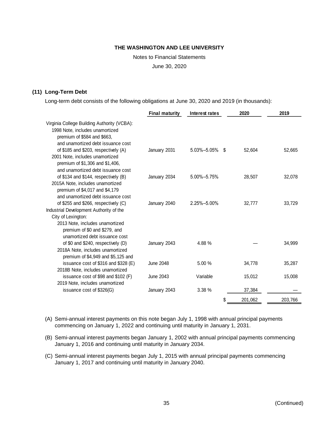Notes to Financial Statements

June 30, 2020

#### **(11) Long-Term Debt**

Long-term debt consists of the following obligations at June 30, 2020 and 2019 (in thousands):

|                                                                                                                                                                           | <b>Final maturity</b> | Interest rates       | 2020         | 2019    |
|---------------------------------------------------------------------------------------------------------------------------------------------------------------------------|-----------------------|----------------------|--------------|---------|
| Virginia College Building Authority (VCBA):<br>1998 Note, includes unamortized<br>premium of \$584 and \$663,<br>and unamortized debt issuance cost                       |                       |                      |              |         |
| of \$185 and \$203, respectively (A)<br>2001 Note, includes unamortized<br>premium of \$1,306 and \$1,406,<br>and unamortized debt issuance cost                          | January 2031          | $5.03\% - 5.05\%$ \$ | 52,604       | 52,665  |
| of \$134 and \$144, respectively (B)<br>2015A Note, includes unamortized<br>premium of \$4,017 and \$4,179<br>and unamortized debt issuance cost                          | January 2034          | 5.00%-5.75%          | 28,507       | 32,078  |
| of \$255 and \$266, respectively (C)<br>Industrial Development Authority of the<br>City of Lexington:<br>2013 Note, includes unamortized<br>premium of \$0 and \$279, and | January 2040          | $2.25\% - 5.00\%$    | 32,777       | 33,729  |
| unamortized debt issuance cost<br>of \$0 and \$240, respectively (D)<br>2018A Note, includes unamortized<br>premium of \$4,949 and \$5,125 and                            | January 2043          | 4.88%                |              | 34,999  |
| issuance cost of \$316 and \$328 (E)<br>2018B Note, includes unamortized                                                                                                  | June 2048             | 5.00%                | 34,778       | 35,287  |
| issuance cost of \$98 and \$102 (F)<br>2019 Note, includes unamortized                                                                                                    | <b>June 2043</b>      | Variable             | 15,012       | 15,008  |
| issuance cost of \$326(G)                                                                                                                                                 | January 2043          | 3.38 %               | 37,384       |         |
|                                                                                                                                                                           |                       |                      | S<br>201,062 | 203,766 |

- (A) Semi-annual interest payments on this note began July 1, 1998 with annual principal payments commencing on January 1, 2022 and continuing until maturity in January 1, 2031.
- (B) Semi-annual interest payments began January 1, 2002 with annual principal payments commencing January 1, 2016 and continuing until maturity in January 2034.
- (C) Semi-annual interest payments began July 1, 2015 with annual principal payments commencing January 1, 2017 and continuing until maturity in January 2040.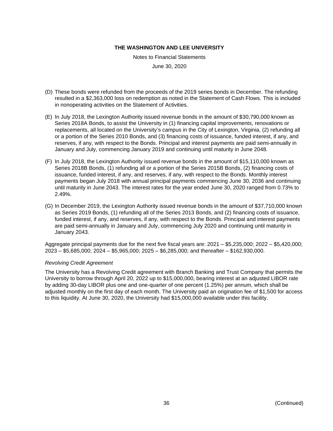Notes to Financial Statements

June 30, 2020

- (D) These bonds were refunded from the proceeds of the 2019 series bonds in December. The refunding resulted in a \$2,363,000 loss on redemption as noted in the Statement of Cash Flows. This is included in nonoperating activities on the Statement of Activities.
- (E) In July 2018, the Lexington Authority issued revenue bonds in the amount of \$30,790,000 known as Series 2018A Bonds, to assist the University in (1) financing capital improvements, renovations or replacements, all located on the University's campus in the City of Lexington, Virginia, (2) refunding all or a portion of the Series 2010 Bonds, and (3) financing costs of issuance, funded interest, if any, and reserves, if any, with respect to the Bonds. Principal and interest payments are paid semi-annually in January and July, commencing January 2019 and continuing until maturity in June 2048.
- (F) In July 2018, the Lexington Authority issued revenue bonds in the amount of \$15,110,000 known as Series 2018B Bonds, (1) refunding all or a portion of the Series 2015B Bonds, (2) financing costs of issuance, funded interest, if any, and reserves, if any, with respect to the Bonds. Monthly interest payments began July 2018 with annual principal payments commencing June 30, 2036 and continuing until maturity in June 2043. The interest rates for the year ended June 30, 2020 ranged from 0.73% to 2.49%.
- (G) In December 2019, the Lexington Authority issued revenue bonds in the amount of \$37,710,000 known as Series 2019 Bonds, (1) refunding all of the Series 2013 Bonds, and (2) financing costs of issuance, funded interest, if any, and reserves, if any, with respect to the Bonds. Principal and interest payments are paid semi-annually in January and July, commencing July 2020 and continuing until maturity in January 2043.

Aggregate principal payments due for the next five fiscal years are: 2021 – \$5,235,000; 2022 – \$5,420,000; 2023 – \$5,685,000; 2024 – \$5,965,000; 2025 – \$6,285,000; and thereafter – \$162,930,000.

#### *Revolving Credit Agreement*

The University has a Revolving Credit agreement with Branch Banking and Trust Company that permits the University to borrow through April 20, 2022 up to \$15,000,000, bearing interest at an adjusted LIBOR rate by adding 30-day LIBOR plus one and one-quarter of one percent (1.25%) per annum, which shall be adjusted monthly on the first day of each month. The University paid an origination fee of \$1,500 for access to this liquidity. At June 30, 2020, the University had \$15,000,000 available under this facility.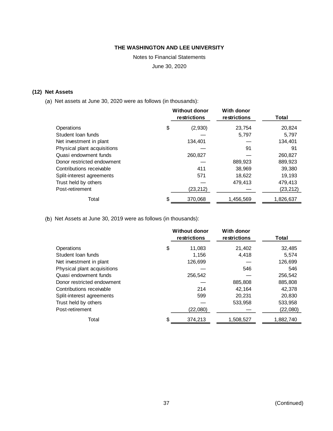Notes to Financial Statements

June 30, 2020

# **(12) Net Assets**

(a) Net assets at June 30, 2020 were as follows (in thousands):

|                             | <b>Without donor</b><br>restrictions | <b>With donor</b><br>restrictions | <b>Total</b> |
|-----------------------------|--------------------------------------|-----------------------------------|--------------|
| Operations                  | \$<br>(2,930)                        | 23,754                            | 20,824       |
| Student Ioan funds          |                                      | 5,797                             | 5,797        |
| Net investment in plant     | 134,401                              |                                   | 134,401      |
| Physical plant acquisitions |                                      | 91                                | 91           |
| Quasi endowment funds       | 260,827                              |                                   | 260,827      |
| Donor restricted endowment  |                                      | 889,923                           | 889,923      |
| Contributions receivable    | 411                                  | 38,969                            | 39,380       |
| Split-interest agreements   | 571                                  | 18,622                            | 19.193       |
| Trust held by others        |                                      | 479.413                           | 479.413      |
| Post-retirement             | (23,212)                             |                                   | (23, 212)    |
| Total                       | \$<br>370,068                        | 1,456,569                         | 1,826,637    |

(b) Net Assets at June 30, 2019 were as follows (in thousands):

|                             | <b>Without donor</b><br>restrictions | <b>With donor</b><br>restrictions | Total     |
|-----------------------------|--------------------------------------|-----------------------------------|-----------|
| Operations                  | \$<br>11,083                         | 21,402                            | 32,485    |
| Student Ioan funds          | 1,156                                | 4,418                             | 5.574     |
| Net investment in plant     | 126,699                              |                                   | 126,699   |
| Physical plant acquisitions |                                      | 546                               | 546       |
| Quasi endowment funds       | 256,542                              |                                   | 256,542   |
| Donor restricted endowment  |                                      | 885,808                           | 885,808   |
| Contributions receivable    | 214                                  | 42.164                            | 42.378    |
| Split-interest agreements   | 599                                  | 20.231                            | 20,830    |
| Trust held by others        |                                      | 533.958                           | 533,958   |
| Post-retirement             | (22,080)                             |                                   | (22,080)  |
| Total                       | \$<br>374,213                        | 1,508,527                         | 1,882,740 |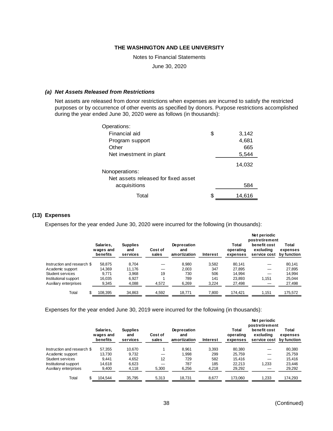Notes to Financial Statements

June 30, 2020

#### *(a) Net Assets Released from Restrictions*

Net assets are released from donor restrictions when expenses are incurred to satisfy the restricted purposes or by occurrence of other events as specified by donors. Purpose restrictions accomplished during the year ended June 30, 2020 were as follows (in thousands):

| Operations:                         |    |        |
|-------------------------------------|----|--------|
| Financial aid                       | \$ | 3,142  |
| Program support                     |    | 4,681  |
| Other                               |    | 665    |
| Net investment in plant             |    | 5,544  |
|                                     |    | 14,032 |
| Nonoperations:                      |    |        |
| Net assets released for fixed asset |    |        |
| acquisitions                        |    | 584    |
| Total                               | S  | 14,616 |

# **(13) Expenses**

Expenses for the year ended June 30, 2020 were incurred for the following (in thousands):

|                             | Salaries,<br>wages and<br>benefits | <b>Supplies</b><br>and<br>services | Cost of<br>sales | Deprecation<br>and<br>amortization | <b>Interest</b> | Total<br>operating<br>expenses | Net periodic<br>postretirement<br>benefit cost<br>excluding<br>service cost | <b>Total</b><br>expenses<br>by function |
|-----------------------------|------------------------------------|------------------------------------|------------------|------------------------------------|-----------------|--------------------------------|-----------------------------------------------------------------------------|-----------------------------------------|
| Instruction and research \$ | 58.875                             | 8.704                              |                  | 8.980                              | 3.582           | 80.141                         |                                                                             | 80,141                                  |
| Academic support            | 14.369                             | 11.176                             |                  | 2.003                              | 347             | 27,895                         |                                                                             | 27,895                                  |
| Student services            | 9.771                              | 3.968                              | 19               | 730                                | 506             | 14.994                         |                                                                             | 14.994                                  |
| Institutional support       | 16.035                             | 6.927                              |                  | 789                                | 141             | 23.893                         | 1.151                                                                       | 25.044                                  |
| Auxiliary enterprises       | 9,345                              | 4,088                              | 4,572            | 6,269                              | 3,224           | 27,498                         |                                                                             | 27,498                                  |
| Total<br>\$                 | 108,395                            | 34,863                             | 4,592            | 18,771                             | 7,800           | 174.421                        | 1.151                                                                       | 175,572                                 |

Expenses for the year ended June 30, 2019 were incurred for the following (in thousands):

|                             |                                    |                                    |                  |                                    |                 | Net periodic<br>postretirement |                                           |                                  |
|-----------------------------|------------------------------------|------------------------------------|------------------|------------------------------------|-----------------|--------------------------------|-------------------------------------------|----------------------------------|
|                             | Salaries.<br>wages and<br>benefits | <b>Supplies</b><br>and<br>services | Cost of<br>sales | Deprecation<br>and<br>amortization | <b>Interest</b> | Total<br>operating<br>expenses | benefit cost<br>excludina<br>service cost | Total<br>expenses<br>by function |
| Instruction and research \$ | 57,355                             | 10.670                             |                  | 8.961                              | 3,393           | 80,380                         |                                           | 80,380                           |
| Academic support            | 13.730                             | 9.732                              |                  | 1,998                              | 299             | 25.759                         |                                           | 25,759                           |
| Student services            | 9.441                              | 4.652                              | 12               | 729                                | 582             | 15.416                         |                                           | 15,416                           |
| Institutional support       | 14.618                             | 6.623                              |                  | 787                                | 185             | 22.213                         | 1,233                                     | 23,446                           |
| Auxiliary enterprises       | 9,400                              | 4,118                              | 5,300            | 6,256                              | 4,218           | 29,292                         |                                           | 29,292                           |
| Total<br>\$                 | 104.544                            | 35.795                             | 5.313            | 18.731                             | 8.677           | 173.060                        | 1.233                                     | 174.293                          |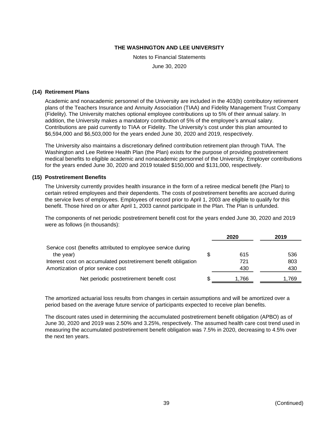Notes to Financial Statements

June 30, 2020

#### **(14) Retirement Plans**

Academic and nonacademic personnel of the University are included in the 403(b) contributory retirement plans of the Teachers Insurance and Annuity Association (TIAA) and Fidelity Management Trust Company (Fidelity). The University matches optional employee contributions up to 5% of their annual salary. In addition, the University makes a mandatory contribution of 5% of the employee's annual salary. Contributions are paid currently to TIAA or Fidelity. The University's cost under this plan amounted to \$6,594,000 and \$6,503,000 for the years ended June 30, 2020 and 2019, respectively.

The University also maintains a discretionary defined contribution retirement plan through TIAA. The Washington and Lee Retiree Health Plan (the Plan) exists for the purpose of providing postretirement medical benefits to eligible academic and nonacademic personnel of the University. Employer contributions for the years ended June 30, 2020 and 2019 totaled \$150,000 and \$131,000, respectively.

#### **(15) Postretirement Benefits**

The University currently provides health insurance in the form of a retiree medical benefit (the Plan) to certain retired employees and their dependents. The costs of postretirement benefits are accrued during the service lives of employees. Employees of record prior to April 1, 2003 are eligible to qualify for this benefit. Those hired on or after April 1, 2003 cannot participate in the Plan. The Plan is unfunded.

The components of net periodic postretirement benefit cost for the years ended June 30, 2020 and 2019 were as follows (in thousands):

|                                                                | 2020  | 2019  |
|----------------------------------------------------------------|-------|-------|
| Service cost (benefits attributed to employee service during   |       |       |
| the year)                                                      | 615   | 536   |
| Interest cost on accumulated postretirement benefit obligation | 721   | 803   |
| Amortization of prior service cost                             | 430   | 430   |
| Net periodic postretirement benefit cost                       | 1.766 | 1.769 |

The amortized actuarial loss results from changes in certain assumptions and will be amortized over a period based on the average future service of participants expected to receive plan benefits.

The discount rates used in determining the accumulated postretirement benefit obligation (APBO) as of June 30, 2020 and 2019 was 2.50% and 3.25%, respectively. The assumed health care cost trend used in measuring the accumulated postretirement benefit obligation was 7.5% in 2020, decreasing to 4.5% over the next ten years.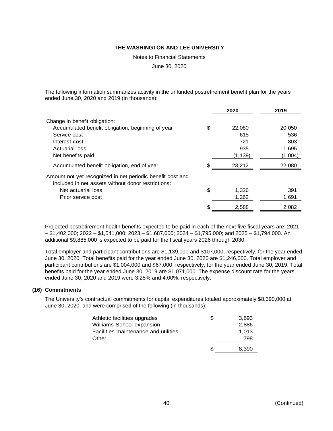Notes to Financial Statements

June 30, 2020

The following information summarizes activity in the unfunded postretirement benefit plan for the years ended June 30, 2020 and 2019 (in thousands):

|                                                                                                                  |    | 2020     | 2019    |
|------------------------------------------------------------------------------------------------------------------|----|----------|---------|
| Change in benefit obligation:                                                                                    |    |          |         |
| Accumulated benefit obligation, beginning of year                                                                | \$ | 22,080   | 20,050  |
| Service cost                                                                                                     |    | 615      | 536     |
| Interest cost                                                                                                    |    | 721      | 803     |
| Actuarial loss                                                                                                   |    | 935      | 1,695   |
| Net benefits paid                                                                                                |    | (1, 139) | (1,004) |
| Accumulated benefit obligation, end of year                                                                      | \$ | 23,212   | 22,080  |
| Amount not yet recognized in net periodic benefit cost and<br>included in net assets without donor restrictions: |    |          |         |
| Net actuarial loss                                                                                               | \$ | 1,326    | 391     |
| Prior service cost                                                                                               |    | 1,262    | 1,691   |
|                                                                                                                  | ፍ  | 2,588    | 2,082   |

Projected postretirement health benefits expected to be paid in each of the next five fiscal years are: 2021 – \$1,402,000; 2022 – \$1,541,000; 2023 – \$1,687,000; 2024 – \$1,795,000; and 2025 – \$1,794,000. An additional \$9,885,000 is expected to be paid for the fiscal years 2026 through 2030.

Total employer and participant contributions are \$1,139,000 and \$107,000, respectively, for the year ended June 30, 2020. Total benefits paid for the year ended June 30, 2020 are \$1,246,000. Total employer and participant contributions are \$1,004,000 and \$67,000, respectively, for the year ended June 30, 2019. Total benefits paid for the year ended June 30, 2019 are \$1,071,000. The expense discount rate for the years ended June 30, 2020 and 2019 were 3.25% and 4.00%, respectively.

#### **(16) Commitments**

The University's contractual commitments for capital expenditures totaled approximately \$8,390,000 at June 30, 2020, and were comprised of the following (in thousands):

| Athletic facilities upgrades         | \$. | 3.693 |
|--------------------------------------|-----|-------|
| Williams School expansion            |     | 2.886 |
| Facilities maintenance and utilities |     | 1.013 |
| Other                                |     | 798   |
|                                      | S.  | 8.390 |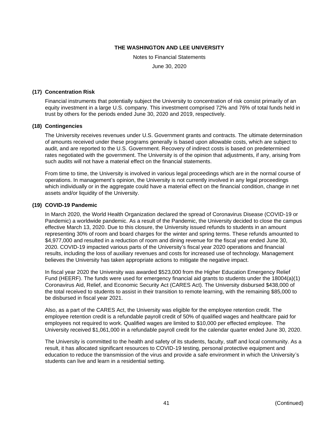Notes to Financial Statements

June 30, 2020

#### **(17) Concentration Risk**

Financial instruments that potentially subject the University to concentration of risk consist primarily of an equity investment in a large U.S. company. This investment comprised 72% and 76% of total funds held in trust by others for the periods ended June 30, 2020 and 2019, respectively.

#### **(18) Contingencies**

The University receives revenues under U.S. Government grants and contracts. The ultimate determination of amounts received under these programs generally is based upon allowable costs, which are subject to audit, and are reported to the U.S. Government. Recovery of indirect costs is based on predetermined rates negotiated with the government. The University is of the opinion that adjustments, if any, arising from such audits will not have a material effect on the financial statements.

From time to time, the University is involved in various legal proceedings which are in the normal course of operations. In management's opinion, the University is not currently involved in any legal proceedings which individually or in the aggregate could have a material effect on the financial condition, change in net assets and/or liquidity of the University.

#### **(19) COVID-19 Pandemic**

In March 2020, the World Health Organization declared the spread of Coronavirus Disease (COVID-19 or Pandemic) a worldwide pandemic. As a result of the Pandemic, the University decided to close the campus effective March 13, 2020. Due to this closure, the University issued refunds to students in an amount representing 30% of room and board charges for the winter and spring terms. These refunds amounted to \$4,977,000 and resulted in a reduction of room and dining revenue for the fiscal year ended June 30, 2020. COVID-19 impacted various parts of the University's fiscal year 2020 operations and financial results, including the loss of auxiliary revenues and costs for increased use of technology. Management believes the University has taken appropriate actions to mitigate the negative impact.

In fiscal year 2020 the University was awarded \$523,000 from the Higher Education Emergency Relief Fund (HEERF). The funds were used for emergency financial aid grants to students under the 18004(a)(1) Coronavirus Aid, Relief, and Economic Security Act (CARES Act). The University disbursed \$438,000 of the total received to students to assist in their transition to remote learning, with the remaining \$85,000 to be disbursed in fiscal year 2021.

Also, as a part of the CARES Act, the University was eligible for the employee retention credit. The employee retention credit is a refundable payroll credit of 50% of qualified wages and healthcare paid for employees not required to work. Qualified wages are limited to \$10,000 per effected employee. The University received \$1,061,000 in a refundable payroll credit for the calendar quarter ended June 30, 2020.

The University is committed to the health and safety of its students, faculty, staff and local community. As a result, it has allocated significant resources to COVID-19 testing, personal protective equipment and education to reduce the transmission of the virus and provide a safe environment in which the University's students can live and learn in a residential setting.